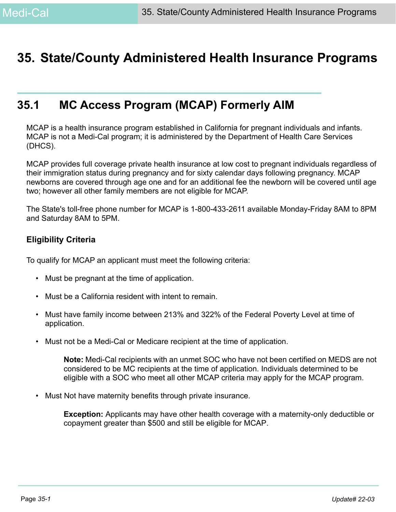# **35. State/County Administered Health Insurance Programs**

# **35.1 MC Access Program (MCAP) Formerly AIM**

MCAP is a health insurance program established in California for pregnant individuals and infants. MCAP is not a Medi-Cal program; it is administered by the Department of Health Care Services (DHCS).

MCAP provides full coverage private health insurance at low cost to pregnant individuals regardless of their immigration status during pregnancy and for sixty calendar days following pregnancy. MCAP newborns are covered through age one and for an additional fee the newborn will be covered until age two; however all other family members are not eligible for MCAP.

The State's toll-free phone number for MCAP is 1-800-433-2611 available Monday-Friday 8AM to 8PM and Saturday 8AM to 5PM.

### **Eligibility Criteria**

To qualify for MCAP an applicant must meet the following criteria:

- Must be pregnant at the time of application.
- Must be a California resident with intent to remain.
- Must have family income between 213% and 322% of the Federal Poverty Level at time of application.
- Must not be a Medi-Cal or Medicare recipient at the time of application.

**Note:** Medi-Cal recipients with an unmet SOC who have not been certified on MEDS are not considered to be MC recipients at the time of application. Individuals determined to be eligible with a SOC who meet all other MCAP criteria may apply for the MCAP program.

• Must Not have maternity benefits through private insurance.

**Exception:** Applicants may have other health coverage with a maternity-only deductible or copayment greater than \$500 and still be eligible for MCAP.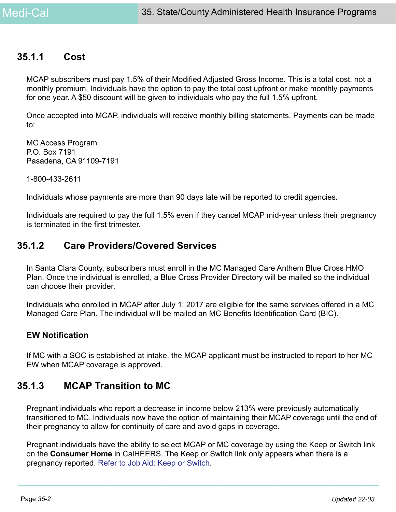### **35.1.1 Cost**

MCAP subscribers must pay 1.5% of their Modified Adjusted Gross Income. This is a total cost, not a monthly premium. Individuals have the option to pay the total cost upfront or make monthly payments for one year. A \$50 discount will be given to individuals who pay the full 1.5% upfront.

Once accepted into MCAP, individuals will receive monthly billing statements. Payments can be made to:

MC Access Program P.O. Box 7191 Pasadena, CA 91109-7191

1-800-433-2611

Individuals whose payments are more than 90 days late will be reported to credit agencies.

Individuals are required to pay the full 1.5% even if they cancel MCAP mid-year unless their pregnancy is terminated in the first trimester.

## **35.1.2 Care Providers/Covered Services**

In Santa Clara County, subscribers must enroll in the MC Managed Care Anthem Blue Cross HMO Plan. Once the individual is enrolled, a Blue Cross Provider Directory will be mailed so the individual can choose their provider.

Individuals who enrolled in MCAP after July 1, 2017 are eligible for the same services offered in a MC Managed Care Plan. The individual will be mailed an MC Benefits Identification Card (BIC).

### **EW Notification**

If MC with a SOC is established at intake, the MCAP applicant must be instructed to report to her MC EW when MCAP coverage is approved.

## **35.1.3 MCAP Transition to MC**

Pregnant individuals who report a decrease in income below 213% were previously automatically transitioned to MC. Individuals now have the option of maintaining their MCAP coverage until the end of their pregnancy to allow for continuity of care and avoid gaps in coverage.

Pregnant individuals have the ability to select MCAP or MC coverage by using the Keep or Switch link on the **Consumer Home** in CalHEERS. The Keep or Switch link only appears when there is a pregnancy reported. Refer to Job Aid: Keep or Switch.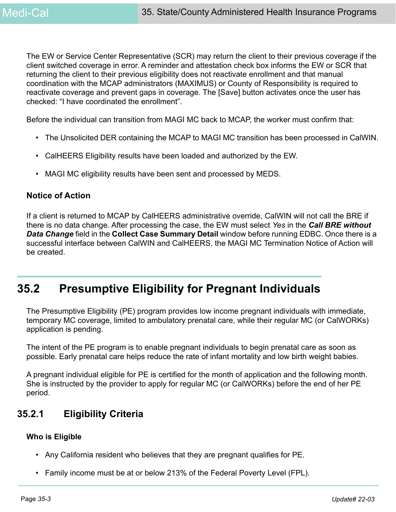The EW or Service Center Representative (SCR) may return the client to their previous coverage if the client switched coverage in error. A reminder and attestation check box informs the EW or SCR that returning the client to their previous eligibility does not reactivate enrollment and that manual coordination with the MCAP administrators (MAXIMUS) or County of Responsibility is required to reactivate coverage and prevent gaps in coverage. The [Save] button activates once the user has checked: "I have coordinated the enrollment".

Before the individual can transition from MAGI MC back to MCAP, the worker must confirm that:

- The Unsolicited DER containing the MCAP to MAGI MC transition has been processed in CalWIN.
- CalHEERS Eligibility results have been loaded and authorized by the EW.
- MAGI MC eligibility results have been sent and processed by MEDS.

### **Notice of Action**

If a client is returned to MCAP by CalHEERS administrative override, CalWIN will not call the BRE if there is no data change. After processing the case, the EW must select *Yes* in the *Call BRE without Data Change* field in the **Collect Case Summary Detail** window before running EDBC. Once there is a successful interface between CalWIN and CalHEERS, the MAGI MC Termination Notice of Action will be created.

# **35.2 Presumptive Eligibility for Pregnant Individuals**

The Presumptive Eligibility (PE) program provides low income pregnant individuals with immediate, temporary MC coverage, limited to ambulatory prenatal care, while their regular MC (or CalWORKs) application is pending.

The intent of the PE program is to enable pregnant individuals to begin prenatal care as soon as possible. Early prenatal care helps reduce the rate of infant mortality and low birth weight babies.

A pregnant individual eligible for PE is certified for the month of application and the following month. She is instructed by the provider to apply for regular MC (or CalWORKs) before the end of her PE period.

## **35.2.1 Eligibility Criteria**

### **Who is Eligible**

- Any California resident who believes that they are pregnant qualifies for PE.
- Family income must be at or below 213% of the Federal Poverty Level (FPL).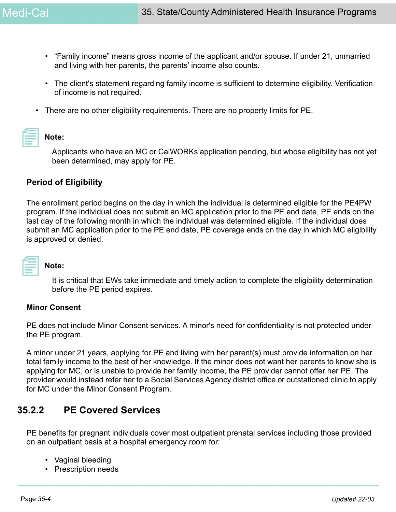- "Family income" means gross income of the applicant and/or spouse. If under 21, unmarried and living with her parents, the parents' income also counts.
- The client's statement regarding family income is sufficient to determine eligibility. Verification of income is not required.
- There are no other eligibility requirements. There are no property limits for PE.

### **Note:**

Applicants who have an MC or CalWORKs application pending, but whose eligibility has not yet been determined, may apply for PE.

### **Period of Eligibility**

The enrollment period begins on the day in which the individual is determined eligible for the PE4PW program. If the individual does not submit an MC application prior to the PE end date, PE ends on the last day of the following month in which the individual was determined eligible. If the individual does submit an MC application prior to the PE end date, PE coverage ends on the day in which MC eligibility is approved or denied.

| and the state of the state of the state of the state of the state of the state of the state of the state of th |  |
|----------------------------------------------------------------------------------------------------------------|--|
|                                                                                                                |  |

### **Note:**

It is critical that EWs take immediate and timely action to complete the eligibility determination before the PE period expires.

### **Minor Consent**

PE does not include Minor Consent services. A minor's need for confidentiality is not protected under the PE program.

A minor under 21 years, applying for PE and living with her parent(s) must provide information on her total family income to the best of her knowledge. If the minor does not want her parents to know she is applying for MC, or is unable to provide her family income, the PE provider cannot offer her PE. The provider would instead refer her to a Social Services Agency district office or outstationed clinic to apply for MC under the Minor Consent Program.

## **35.2.2 PE Covered Services**

PE benefits for pregnant individuals cover most outpatient prenatal services including those provided on an outpatient basis at a hospital emergency room for:

- Vaginal bleeding
- Prescription needs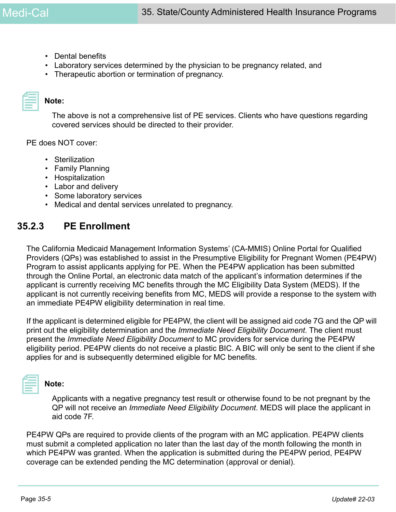- Dental benefits
- Laboratory services determined by the physician to be pregnancy related, and
- Therapeutic abortion or termination of pregnancy.

| _________ |  |
|-----------|--|

### **Note:**

The above is not a comprehensive list of PE services. Clients who have questions regarding covered services should be directed to their provider.

PE does NOT cover:

- Sterilization
- Family Planning
- Hospitalization
- Labor and delivery
- Some laboratory services
- Medical and dental services unrelated to pregnancy.

### **35.2.3 PE Enrollment**

The California Medicaid Management Information Systems' (CA-MMIS) Online Portal for Qualified Providers (QPs) was established to assist in the Presumptive Eligibility for Pregnant Women (PE4PW) Program to assist applicants applying for PE. When the PE4PW application has been submitted through the Online Portal, an electronic data match of the applicant's information determines if the applicant is currently receiving MC benefits through the MC Eligibility Data System (MEDS). If the applicant is not currently receiving benefits from MC, MEDS will provide a response to the system with an immediate PE4PW eligibility determination in real time.

If the applicant is determined eligible for PE4PW, the client will be assigned aid code 7G and the QP will print out the eligibility determination and the *Immediate Need Eligibility Document*. The client must present the *Immediate Need Eligibility Document* to MC providers for service during the PE4PW eligibility period. PE4PW clients do not receive a plastic BIC. A BIC will only be sent to the client if she applies for and is subsequently determined eligible for MC benefits.



### **Note:**

Applicants with a negative pregnancy test result or otherwise found to be not pregnant by the QP will not receive an *Immediate Need Eligibility Document*. MEDS will place the applicant in aid code 7F.

PE4PW QPs are required to provide clients of the program with an MC application. PE4PW clients must submit a completed application no later than the last day of the month following the month in which PE4PW was granted. When the application is submitted during the PE4PW period, PE4PW coverage can be extended pending the MC determination (approval or denial).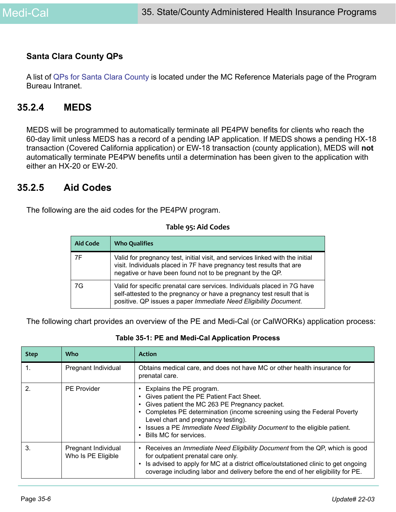### **Santa Clara County QPs**

[A list of](https://ssaconnect.sccgov.org/ssa_departments/debs_program/Documents/reference_materials/pe4pw.pdf) QPs for Santa Clara County is located under the MC Reference Materials page of the Program Bureau Intranet.

### **35.2.4 MEDS**

MEDS will be programmed to automatically terminate all PE4PW benefits for clients who reach the 60-day limit unless MEDS has a record of a pending IAP application. If MEDS shows a pending HX-18 transaction (Covered California application) or EW-18 transaction (county application), MEDS will **not**  automatically terminate PE4PW benefits until a determination has been given to the application with either an HX-20 or EW-20.

### **35.2.5 Aid Codes**

The following are the aid codes for the PE4PW program.

#### **Table 95: Aid Codes**

| <b>Aid Code</b> | <b>Who Qualifies</b>                                                                                                                                                                                                   |
|-----------------|------------------------------------------------------------------------------------------------------------------------------------------------------------------------------------------------------------------------|
| 7F              | Valid for pregnancy test, initial visit, and services linked with the initial<br>visit. Individuals placed in 7F have pregnancy test results that are<br>negative or have been found not to be pregnant by the QP.     |
| 7G              | Valid for specific prenatal care services. Individuals placed in 7G have<br>self-attested to the pregnancy or have a pregnancy test result that is<br>positive. QP issues a paper Immediate Need Eligibility Document. |

The following chart provides an overview of the PE and Medi-Cal (or CalWORKs) application process:

|  |  |  |  |  |  | Table 35-1: PE and Medi-Cal Application Process |  |
|--|--|--|--|--|--|-------------------------------------------------|--|
|--|--|--|--|--|--|-------------------------------------------------|--|

| <b>Step</b> | Who                                       | <b>Action</b>                                                                                                                                                                                                                                                                                                                                |
|-------------|-------------------------------------------|----------------------------------------------------------------------------------------------------------------------------------------------------------------------------------------------------------------------------------------------------------------------------------------------------------------------------------------------|
| 1.          | Pregnant Individual                       | Obtains medical care, and does not have MC or other health insurance for<br>prenatal care.                                                                                                                                                                                                                                                   |
| 2.          | <b>PE Provider</b>                        | Explains the PE program.<br>Gives patient the PE Patient Fact Sheet.<br>Gives patient the MC 263 PE Pregnancy packet.<br>Completes PE determination (income screening using the Federal Poverty<br>Level chart and pregnancy testing).<br>Issues a PE Immediate Need Eligibility Document to the eligible patient.<br>Bills MC for services. |
| 3.          | Pregnant Individual<br>Who Is PE Eligible | • Receives an <i>Immediate Need Eligibility Document</i> from the QP, which is good<br>for outpatient prenatal care only.<br>Is advised to apply for MC at a district office/outstationed clinic to get ongoing<br>coverage including labor and delivery before the end of her eligibility for PE.                                           |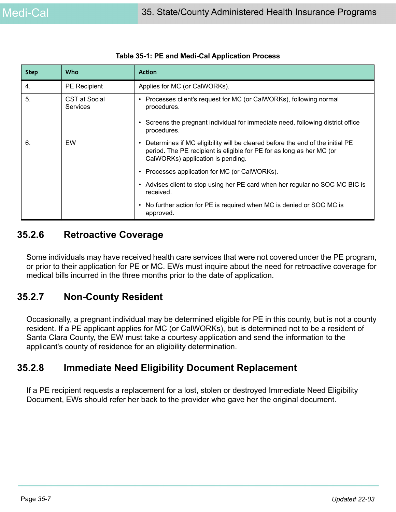| <b>Step</b> | <b>Who</b>                       | <b>Action</b>                                                                                                                                                                               |
|-------------|----------------------------------|---------------------------------------------------------------------------------------------------------------------------------------------------------------------------------------------|
| 4.          | <b>PE</b> Recipient              | Applies for MC (or CalWORKs).                                                                                                                                                               |
| 5.          | CST at Social<br><b>Services</b> | Processes client's request for MC (or CalWORKs), following normal<br>٠<br>procedures.                                                                                                       |
|             |                                  | Screens the pregnant individual for immediate need, following district office<br>procedures.                                                                                                |
| 6.          | EW                               | Determines if MC eligibility will be cleared before the end of the initial PE<br>period. The PE recipient is eligible for PE for as long as her MC (or<br>CalWORKs) application is pending. |
|             |                                  | Processes application for MC (or CalWORKs).                                                                                                                                                 |
|             |                                  | Advises client to stop using her PE card when her regular no SOC MC BIC is<br>٠<br>received.                                                                                                |
|             |                                  | No further action for PE is required when MC is denied or SOC MC is<br>$\bullet$<br>approved.                                                                                               |

|  |  |  | Table 35-1: PE and Medi-Cal Application Process |  |
|--|--|--|-------------------------------------------------|--|
|--|--|--|-------------------------------------------------|--|

## **35.2.6 Retroactive Coverage**

Some individuals may have received health care services that were not covered under the PE program, or prior to their application for PE or MC. EWs must inquire about the need for retroactive coverage for medical bills incurred in the three months prior to the date of application.

## **35.2.7 Non-County Resident**

Occasionally, a pregnant individual may be determined eligible for PE in this county, but is not a county resident. If a PE applicant applies for MC (or CalWORKs), but is determined not to be a resident of Santa Clara County, the EW must take a courtesy application and send the information to the applicant's county of residence for an eligibility determination.

## **35.2.8 Immediate Need Eligibility Document Replacement**

If a PE recipient requests a replacement for a lost, stolen or destroyed Immediate Need Eligibility Document, EWs should refer her back to the provider who gave her the original document.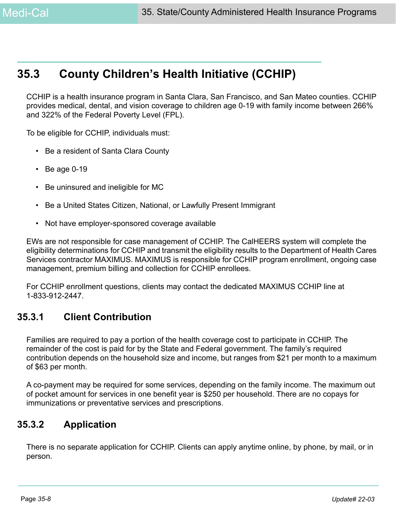# **35.3 County Children's Health Initiative (CCHIP)**

CCHIP is a health insurance program in Santa Clara, San Francisco, and San Mateo counties. CCHIP provides medical, dental, and vision coverage to children age 0-19 with family income between 266% and 322% of the Federal Poverty Level (FPL).

To be eligible for CCHIP, individuals must:

- Be a resident of Santa Clara County
- $\cdot$  Be age 0-19
- Be uninsured and ineligible for MC
- Be a United States Citizen, National, or Lawfully Present Immigrant
- Not have employer-sponsored coverage available

EWs are not responsible for case management of CCHIP. The CalHEERS system will complete the eligibility determinations for CCHIP and transmit the eligibility results to the Department of Health Cares Services contractor MAXIMUS. MAXIMUS is responsible for CCHIP program enrollment, ongoing case management, premium billing and collection for CCHIP enrollees.

For CCHIP enrollment questions, clients may contact the dedicated MAXIMUS CCHIP line at 1-833-912-2447.

## **35.3.1 Client Contribution**

Families are required to pay a portion of the health coverage cost to participate in CCHIP. The remainder of the cost is paid for by the State and Federal government. The family's required contribution depends on the household size and income, but ranges from \$21 per month to a maximum of \$63 per month.

A co-payment may be required for some services, depending on the family income. The maximum out of pocket amount for services in one benefit year is \$250 per household. There are no copays for immunizations or preventative services and prescriptions.

## **35.3.2 Application**

There is no separate application for CCHIP. Clients can apply anytime online, by phone, by mail, or in person.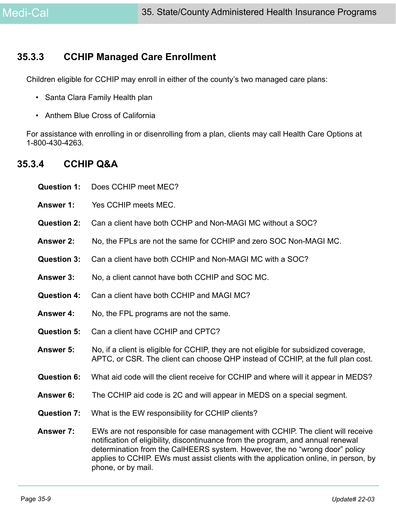## **35.3.3 CCHIP Managed Care Enrollment**

Children eligible for CCHIP may enroll in either of the county's two managed care plans:

- Santa Clara Family Health plan
- Anthem Blue Cross of California

For assistance with enrolling in or disenrolling from a plan, clients may call Health Care Options at 1-800-430-4263.

## **35.3.4 CCHIP Q&A**

| <b>Question 1:</b> | Does CCHIP meet MEC?                                                                                                                                                                                                                                                                                                                                             |
|--------------------|------------------------------------------------------------------------------------------------------------------------------------------------------------------------------------------------------------------------------------------------------------------------------------------------------------------------------------------------------------------|
| <b>Answer 1:</b>   | Yes CCHIP meets MEC.                                                                                                                                                                                                                                                                                                                                             |
| <b>Question 2:</b> | Can a client have both CCHP and Non-MAGI MC without a SOC?                                                                                                                                                                                                                                                                                                       |
| <b>Answer 2:</b>   | No, the FPLs are not the same for CCHIP and zero SOC Non-MAGI MC.                                                                                                                                                                                                                                                                                                |
| <b>Question 3:</b> | Can a client have both CCHIP and Non-MAGI MC with a SOC?                                                                                                                                                                                                                                                                                                         |
| <b>Answer 3:</b>   | No, a client cannot have both CCHIP and SOC MC.                                                                                                                                                                                                                                                                                                                  |
| <b>Question 4:</b> | Can a client have both CCHIP and MAGI MC?                                                                                                                                                                                                                                                                                                                        |
| <b>Answer 4:</b>   | No, the FPL programs are not the same.                                                                                                                                                                                                                                                                                                                           |
| <b>Question 5:</b> | Can a client have CCHIP and CPTC?                                                                                                                                                                                                                                                                                                                                |
| <b>Answer 5:</b>   | No, if a client is eligible for CCHIP, they are not eligible for subsidized coverage,<br>APTC, or CSR. The client can choose QHP instead of CCHIP, at the full plan cost.                                                                                                                                                                                        |
| <b>Question 6:</b> | What aid code will the client receive for CCHIP and where will it appear in MEDS?                                                                                                                                                                                                                                                                                |
| Answer 6:          | The CCHIP aid code is 2C and will appear in MEDS on a special segment.                                                                                                                                                                                                                                                                                           |
| <b>Question 7:</b> | What is the EW responsibility for CCHIP clients?                                                                                                                                                                                                                                                                                                                 |
| <b>Answer 7:</b>   | EWs are not responsible for case management with CCHIP. The client will receive<br>notification of eligibility, discontinuance from the program, and annual renewal<br>determination from the CalHEERS system. However, the no "wrong door" policy<br>applies to CCHIP. EWs must assist clients with the application online, in person, by<br>phone, or by mail. |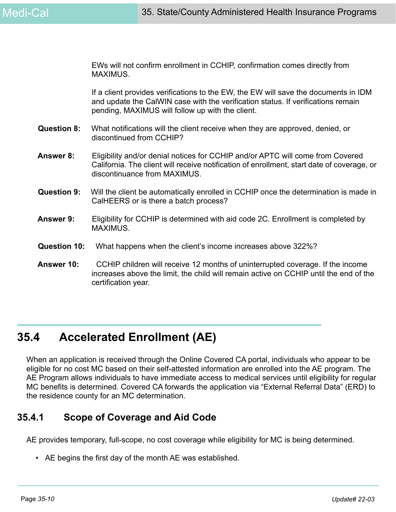EWs will not confirm enrollment in CCHIP, confirmation comes directly from MAXIMUS.

If a client provides verifications to the EW, the EW will save the documents in IDM and update the CalWIN case with the verification status. If verifications remain pending, MAXIMUS will follow up with the client.

- **Question 8:** What notifications will the client receive when they are approved, denied, or discontinued from CCHIP?
- **Answer 8:** Eligibility and/or denial notices for CCHIP and/or APTC will come from Covered California. The client will receive notification of enrollment, start date of coverage, or discontinuance from MAXIMUS.
- **Question 9:** Will the client be automatically enrolled in CCHIP once the determination is made in CalHEERS or is there a batch process?
- **Answer 9:** Eligibility for CCHIP is determined with aid code 2C. Enrollment is completed by MAXIMUS.
- **Question 10:** What happens when the client's income increases above 322%?
- **Answer 10:** CCHIP children will receive 12 months of uninterrupted coverage. If the income increases above the limit, the child will remain active on CCHIP until the end of the certification year.

# **35.4 Accelerated Enrollment (AE)**

When an application is received through the Online Covered CA portal, individuals who appear to be eligible for no cost MC based on their self-attested information are enrolled into the AE program. The AE Program allows individuals to have immediate access to medical services until eligibility for regular MC benefits is determined. Covered CA forwards the application via "External Referral Data" (ERD) to the residence county for an MC determination.

## **35.4.1 Scope of Coverage and Aid Code**

AE provides temporary, full-scope, no cost coverage while eligibility for MC is being determined.

• AE begins the first day of the month AE was established.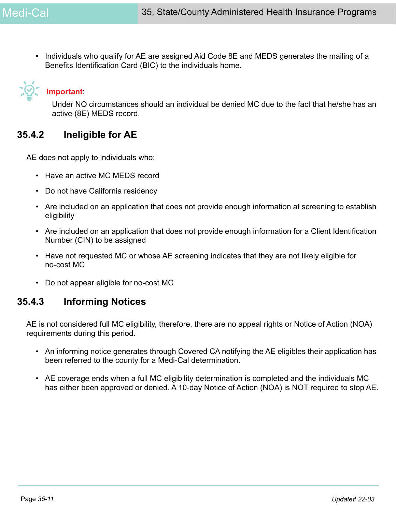• Individuals who qualify for AE are assigned Aid Code 8E and MEDS generates the mailing of a Benefits Identification Card (BIC) to the individuals home.



# **Important**:

Under NO circumstances should an individual be denied MC due to the fact that he/she has an active (8E) MEDS record.

## **35.4.2 Ineligible for AE**

AE does not apply to individuals who:

- Have an active MC MEDS record
- Do not have California residency
- Are included on an application that does not provide enough information at screening to establish eligibility
- Are included on an application that does not provide enough information for a Client Identification Number (CIN) to be assigned
- Have not requested MC or whose AE screening indicates that they are not likely eligible for no-cost MC
- Do not appear eligible for no-cost MC

## **35.4.3 Informing Notices**

AE is not considered full MC eligibility, therefore, there are no appeal rights or Notice of Action (NOA) requirements during this period.

- An informing notice generates through Covered CA notifying the AE eligibles their application has been referred to the county for a Medi-Cal determination.
- AE coverage ends when a full MC eligibility determination is completed and the individuals MC has either been approved or denied. A 10-day Notice of Action (NOA) is NOT required to stop AE.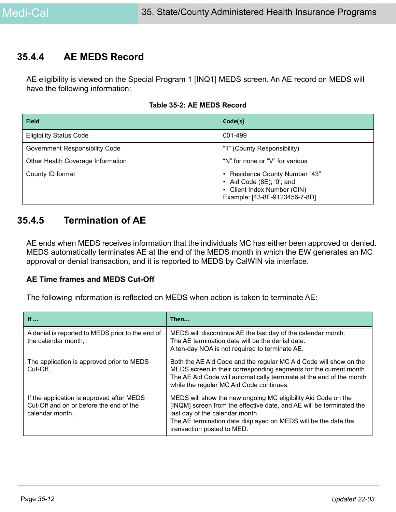## **35.4.4 AE MEDS Record**

AE eligibility is viewed on the Special Program 1 [INQ1] MEDS screen. An AE record on MEDS will have the following information:

|  |  |  | Table 35-2: AE MEDS Record |
|--|--|--|----------------------------|
|--|--|--|----------------------------|

| <b>Field</b>                      | Code(s)                                                                                                                      |
|-----------------------------------|------------------------------------------------------------------------------------------------------------------------------|
| <b>Eligibility Status Code</b>    | 001-499                                                                                                                      |
| Government Responsibility Code    | "1" (County Responsibility)                                                                                                  |
| Other Health Coverage Information | "N" for none or "V" for various                                                                                              |
| County ID format                  | • Residence County Number "43"<br>• Aid Code $(8E)$ ; '9'; and<br>Client Index Number (CIN)<br>Example: [43-8E-9123456-7-8D] |

## **35.4.5 Termination of AE**

AE ends when MEDS receives information that the individuals MC has either been approved or denied. MEDS automatically terminates AE at the end of the MEDS month in which the EW generates an MC approval or denial transaction, and it is reported to MEDS by CalWIN via interface.

### **AE Time frames and MEDS Cut-Off**

The following information is reflected on MEDS when action is taken to terminate AE:

| If $\ldots$                                                                                             | Then                                                                                                                                                                                                                                                                     |
|---------------------------------------------------------------------------------------------------------|--------------------------------------------------------------------------------------------------------------------------------------------------------------------------------------------------------------------------------------------------------------------------|
| A denial is reported to MEDS prior to the end of<br>the calendar month,                                 | MEDS will discontinue AE the last day of the calendar month.<br>The AE termination date will be the denial date.<br>A ten-day NOA is not required to terminate AE.                                                                                                       |
| The application is approved prior to MEDS<br>Cut-Off.                                                   | Both the AE Aid Code and the regular MC Aid Code will show on the<br>MEDS screen in their corresponding segments for the current month.<br>The AE Aid Code will automatically terminate at the end of the month<br>while the regular MC Aid Code continues.              |
| If the application is approved after MEDS<br>Cut-Off and on or before the end of the<br>calendar month, | MEDS will show the new ongoing MC eligibility Aid Code on the<br>[INQM] screen from the effective date, and AE will be terminated the<br>last day of the calendar month.<br>The AE termination date displayed on MEDS will be the date the<br>transaction posted to MED. |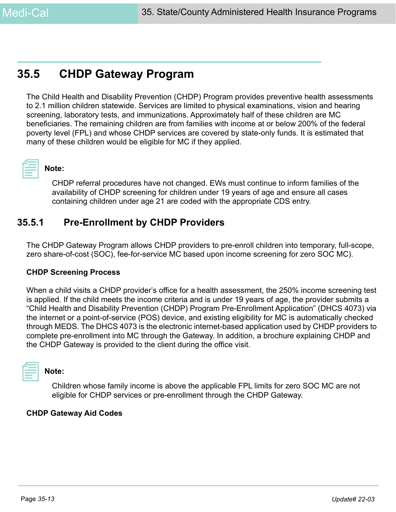# **35.5 CHDP Gateway Program**

The Child Health and Disability Prevention (CHDP) Program provides preventive health assessments to 2.1 million children statewide. Services are limited to physical examinations, vision and hearing screening, laboratory tests, and immunizations. Approximately half of these children are MC beneficiaries. The remaining children are from families with income at or below 200% of the federal poverty level (FPL) and whose CHDP services are covered by state-only funds. It is estimated that many of these children would be eligible for MC if they applied.



## **Note:**

CHDP referral procedures have not changed. EWs must continue to inform families of the availability of CHDP screening for children under 19 years of age and ensure all cases containing children under age 21 are coded with the appropriate CDS entry.

## **35.5.1 Pre-Enrollment by CHDP Providers**

The CHDP Gateway Program allows CHDP providers to pre-enroll children into temporary, full-scope, zero share-of-cost (SOC), fee-for-service MC based upon income screening for zero SOC MC).

### **CHDP Screening Process**

When a child visits a CHDP provider's office for a health assessment, the 250% income screening test is applied. If the child meets the income criteria and is under 19 years of age, the provider submits a "Child Health and Disability Prevention (CHDP) Program Pre-Enrollment Application" (DHCS 4073) via the internet or a point-of-service (POS) device, and existing eligibility for MC is automatically checked through MEDS. The DHCS 4073 is the electronic internet-based application used by CHDP providers to complete pre-enrollment into MC through the Gateway. In addition, a brochure explaining CHDP and the CHDP Gateway is provided to the client during the office visit.



### **Note:**

Children whose family income is above the applicable FPL limits for zero SOC MC are not eligible for CHDP services or pre-enrollment through the CHDP Gateway.

### **CHDP Gateway Aid Codes**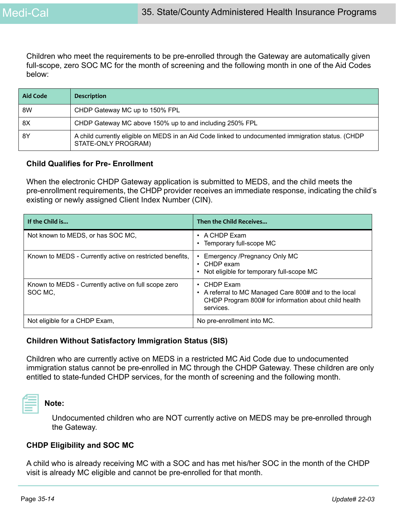Children who meet the requirements to be pre-enrolled through the Gateway are automatically given full-scope, zero SOC MC for the month of screening and the following month in one of the Aid Codes below:

| Aid Code | <b>Description</b>                                                                                                        |
|----------|---------------------------------------------------------------------------------------------------------------------------|
| 8W       | CHDP Gateway MC up to 150% FPL                                                                                            |
| 8X       | CHDP Gateway MC above 150% up to and including 250% FPL                                                                   |
| 8Y       | A child currently eligible on MEDS in an Aid Code linked to undocumented immigration status. (CHDP<br>STATE-ONLY PROGRAM) |

#### **Child Qualifies for Pre- Enrollment**

When the electronic CHDP Gateway application is submitted to MEDS, and the child meets the pre-enrollment requirements, the CHDP provider receives an immediate response, indicating the child's existing or newly assigned Client Index Number (CIN).

| If the Child is                                                | Then the Child Receives                                                                                                                              |
|----------------------------------------------------------------|------------------------------------------------------------------------------------------------------------------------------------------------------|
| Not known to MEDS, or has SOC MC,                              | $\cdot$ A CHDP Exam<br>• Temporary full-scope MC                                                                                                     |
| Known to MEDS - Currently active on restricted benefits,       | Emergency /Pregnancy Only MC<br>$\cdot$ CHDP exam<br>• Not eligible for temporary full-scope MC                                                      |
| Known to MEDS - Currently active on full scope zero<br>SOC MC. | CHDP Exam<br>$\bullet$<br>• A referral to MC Managed Care 800# and to the local<br>CHDP Program 800# for information about child health<br>services. |
| Not eligible for a CHDP Exam,                                  | No pre-enrollment into MC.                                                                                                                           |

### **Children Without Satisfactory Immigration Status (SIS)**

Children who are currently active on MEDS in a restricted MC Aid Code due to undocumented immigration status cannot be pre-enrolled in MC through the CHDP Gateway. These children are only entitled to state-funded CHDP services, for the month of screening and the following month.



### **Note:**

Undocumented children who are NOT currently active on MEDS may be pre-enrolled through the Gateway.

### **CHDP Eligibility and SOC MC**

A child who is already receiving MC with a SOC and has met his/her SOC in the month of the CHDP visit is already MC eligible and cannot be pre-enrolled for that month.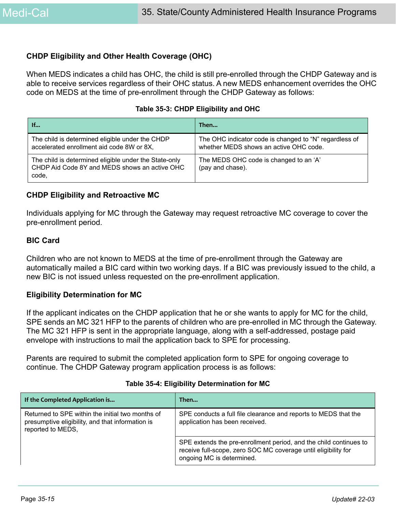### **CHDP Eligibility and Other Health Coverage (OHC)**

When MEDS indicates a child has OHC, the child is still pre-enrolled through the CHDP Gateway and is able to receive services regardless of their OHC status. A new MEDS enhancement overrides the OHC code on MEDS at the time of pre-enrollment through the CHDP Gateway as follows:

| If                                                                                                              | Then                                                                                             |
|-----------------------------------------------------------------------------------------------------------------|--------------------------------------------------------------------------------------------------|
| The child is determined eligible under the CHDP<br>accelerated enrollment aid code 8W or 8X,                    | The OHC indicator code is changed to "N" regardless of<br>whether MEDS shows an active OHC code. |
| The child is determined eligible under the State-only<br>CHDP Aid Code 8Y and MEDS shows an active OHC<br>code, | The MEDS OHC code is changed to an 'A'<br>(pay and chase).                                       |

### **CHDP Eligibility and Retroactive MC**

Individuals applying for MC through the Gateway may request retroactive MC coverage to cover the pre-enrollment period.

#### **BIC Card**

Children who are not known to MEDS at the time of pre-enrollment through the Gateway are automatically mailed a BIC card within two working days. If a BIC was previously issued to the child, a new BIC is not issued unless requested on the pre-enrollment application.

### **Eligibility Determination for MC**

If the applicant indicates on the CHDP application that he or she wants to apply for MC for the child, SPE sends an MC 321 HFP to the parents of children who are pre-enrolled in MC through the Gateway. The MC 321 HFP is sent in the appropriate language, along with a self-addressed, postage paid envelope with instructions to mail the application back to SPE for processing.

Parents are required to submit the completed application form to SPE for ongoing coverage to continue. The CHDP Gateway program application process is as follows:

| If the Completed Application is                                                                                           | Then                                                                                                                                                             |
|---------------------------------------------------------------------------------------------------------------------------|------------------------------------------------------------------------------------------------------------------------------------------------------------------|
| Returned to SPE within the initial two months of<br>presumptive eligibility, and that information is<br>reported to MEDS, | SPE conducts a full file clearance and reports to MEDS that the<br>application has been received.                                                                |
|                                                                                                                           | SPE extends the pre-enrollment period, and the child continues to<br>receive full-scope, zero SOC MC coverage until eligibility for<br>ongoing MC is determined. |

#### **Table 35-4: Eligibility Determination for MC**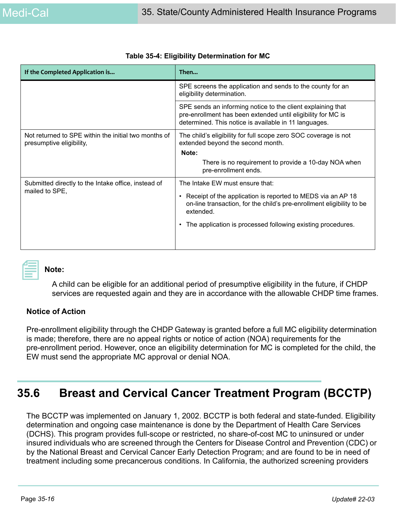| If the Completed Application is                                                  | Then                                                                                                                                                                                                                                                             |
|----------------------------------------------------------------------------------|------------------------------------------------------------------------------------------------------------------------------------------------------------------------------------------------------------------------------------------------------------------|
|                                                                                  | SPE screens the application and sends to the county for an<br>eligibility determination.                                                                                                                                                                         |
|                                                                                  | SPE sends an informing notice to the client explaining that<br>pre-enrollment has been extended until eligibility for MC is<br>determined. This notice is available in 11 languages.                                                                             |
| Not returned to SPE within the initial two months of<br>presumptive eligibility, | The child's eligibility for full scope zero SOC coverage is not<br>extended beyond the second month.<br>Note:<br>There is no requirement to provide a 10-day NOA when<br>pre-enrollment ends.                                                                    |
| Submitted directly to the Intake office, instead of<br>mailed to SPE,            | The Intake EW must ensure that:<br>Receipt of the application is reported to MEDS via an AP 18<br>on-line transaction, for the child's pre-enrollment eligibility to be<br>extended.<br>The application is processed following existing procedures.<br>$\bullet$ |

### **Table 35-4: Eligibility Determination for MC**



### **Note:**

A child can be eligible for an additional period of presumptive eligibility in the future, if CHDP services are requested again and they are in accordance with the allowable CHDP time frames.

### **Notice of Action**

Pre-enrollment eligibility through the CHDP Gateway is granted before a full MC eligibility determination is made; therefore, there are no appeal rights or notice of action (NOA) requirements for the pre-enrollment period. However, once an eligibility determination for MC is completed for the child, the EW must send the appropriate MC approval or denial NOA.

# **35.6 Breast and Cervical Cancer Treatment Program (BCCTP)**

The BCCTP was implemented on January 1, 2002. BCCTP is both federal and state-funded. Eligibility determination and ongoing case maintenance is done by the Department of Health Care Services (DCHS). This program provides full-scope or restricted, no share-of-cost MC to uninsured or under insured individuals who are screened through the Centers for Disease Control and Prevention (CDC) or by the National Breast and Cervical Cancer Early Detection Program; and are found to be in need of treatment including some precancerous conditions. In California, the authorized screening providers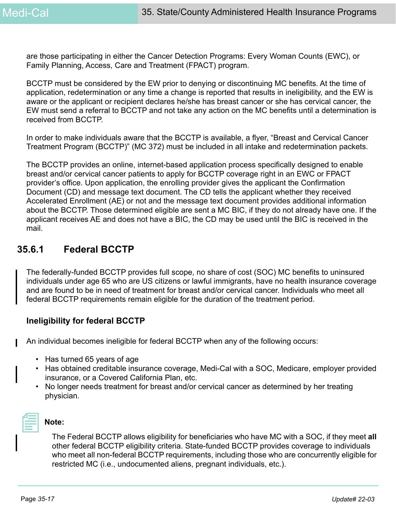are those participating in either the Cancer Detection Programs: Every Woman Counts (EWC), or Family Planning, Access, Care and Treatment (FPACT) program.

BCCTP must be considered by the EW prior to denying or discontinuing MC benefits. At the time of application, redetermination or any time a change is reported that results in ineligibility, and the EW is aware or the applicant or recipient declares he/she has breast cancer or she has cervical cancer, the EW must send a referral to BCCTP and not take any action on the MC benefits until a determination is received from BCCTP.

In order to make individuals aware that the BCCTP is available, a flyer, "Breast and Cervical Cancer Treatment Program (BCCTP)" (MC 372) must be included in all intake and redetermination packets.

The BCCTP provides an online, internet-based application process specifically designed to enable breast and/or cervical cancer patients to apply for BCCTP coverage right in an EWC or FPACT provider's office. Upon application, the enrolling provider gives the applicant the Confirmation Document (CD) and message text document. The CD tells the applicant whether they received Accelerated Enrollment (AE) or not and the message text document provides additional information about the BCCTP. Those determined eligible are sent a MC BIC, if they do not already have one. If the applicant receives AE and does not have a BIC, the CD may be used until the BIC is received in the mail.

## **35.6.1 Federal BCCTP**

The federally-funded BCCTP provides full scope, no share of cost (SOC) MC benefits to uninsured individuals under age 65 who are US citizens or lawful immigrants, have no health insurance coverage and are found to be in need of treatment for breast and/or cervical cancer. Individuals who meet all federal BCCTP requirements remain eligible for the duration of the treatment period.

### **Ineligibility for federal BCCTP**

An individual becomes ineligible for federal BCCTP when any of the following occurs:

- Has turned 65 years of age
- Has obtained creditable insurance coverage, Medi-Cal with a SOC, Medicare, employer provided insurance, or a Covered California Plan, etc.
- No longer needs treatment for breast and/or cervical cancer as determined by her treating physician.



## **Note:**

The Federal BCCTP allows eligibility for beneficiaries who have MC with a SOC, if they meet **all**  other federal BCCTP eligibility criteria. State-funded BCCTP provides coverage to individuals who meet all non-federal BCCTP requirements, including those who are concurrently eligible for restricted MC (i.e., undocumented aliens, pregnant individuals, etc.).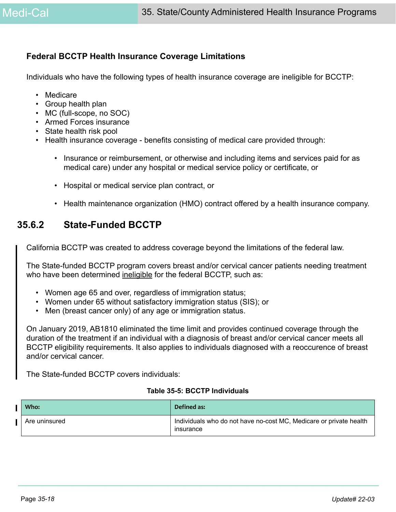### **Federal BCCTP Health Insurance Coverage Limitations**

Individuals who have the following types of health insurance coverage are ineligible for BCCTP:

- Medicare
- Group health plan
- MC (full-scope, no SOC)
- Armed Forces insurance
- State health risk pool
- Health insurance coverage benefits consisting of medical care provided through:
	- Insurance or reimbursement, or otherwise and including items and services paid for as medical care) under any hospital or medical service policy or certificate, or
	- Hospital or medical service plan contract, or
	- Health maintenance organization (HMO) contract offered by a health insurance company.

## **35.6.2 State-Funded BCCTP**

California BCCTP was created to address coverage beyond the limitations of the federal law.

The State-funded BCCTP program covers breast and/or cervical cancer patients needing treatment who have been determined ineligible for the federal BCCTP, such as:

- Women age 65 and over, regardless of immigration status;
- Women under 65 without satisfactory immigration status (SIS); or
- Men (breast cancer only) of any age or immigration status.

On January 2019, AB1810 eliminated the time limit and provides continued coverage through the duration of the treatment if an individual with a diagnosis of breast and/or cervical cancer meets all BCCTP eligibility requirements. It also applies to individuals diagnosed with a reoccurence of breast and/or cervical cancer.

The State-funded BCCTP covers individuals:

#### **Table 35-5: BCCTP Individuals**

| Who:          | Defined as:                                                                            |
|---------------|----------------------------------------------------------------------------------------|
| Are uninsured | Individuals who do not have no-cost MC, Medicare or private health<br><b>Insurance</b> |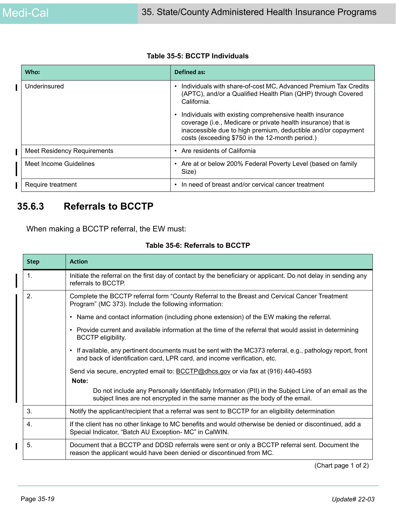#### **Table 35-5: BCCTP Individuals**

| Who:                               | Defined as:                                                                                                                                                                                                                                   |
|------------------------------------|-----------------------------------------------------------------------------------------------------------------------------------------------------------------------------------------------------------------------------------------------|
| Underinsured                       | Individuals with share-of-cost MC, Advanced Premium Tax Credits<br>(APTC), and/or a Qualified Health Plan (QHP) through Covered<br>California.                                                                                                |
|                                    | Individuals with existing comprehensive health insurance<br>coverage (i.e., Medicare or private health insurance) that is<br>inaccessible due to high premium, deductible and/or copayment<br>costs (exceeding \$750 in the 12-month period.) |
| <b>Meet Residency Requirements</b> | Are residents of California                                                                                                                                                                                                                   |
| Meet Income Guidelines             | Are at or below 200% Federal Poverty Level (based on family<br>Size)                                                                                                                                                                          |
| Require treatment                  | In need of breast and/or cervical cancer treatment                                                                                                                                                                                            |

## **35.6.3 Referrals to BCCTP**

When making a BCCTP referral, the EW must:

#### **Table 35-6: Referrals to BCCTP**

| <b>Step</b> | <b>Action</b>                                                                                                                                                                           |
|-------------|-----------------------------------------------------------------------------------------------------------------------------------------------------------------------------------------|
| 1.          | Initiate the referral on the first day of contact by the beneficiary or applicant. Do not delay in sending any<br>referrals to BCCTP.                                                   |
| 2.          | Complete the BCCTP referral form "County Referral to the Breast and Cervical Cancer Treatment<br>Program" (MC 373). Include the following information:                                  |
|             | • Name and contact information (including phone extension) of the EW making the referral.                                                                                               |
|             | • Provide current and available information at the time of the referral that would assist in determining<br><b>BCCTP</b> eligibility.                                                   |
|             | • If available, any pertinent documents must be sent with the MC373 referral, e.g., pathology report, front<br>and back of identification card, LPR card, and income verification, etc. |
|             | Send via secure, encrypted email to: <b>BCCTP@dhcs.gov</b> or via fax at (916) 440-4593<br>Note:                                                                                        |
|             | Do not include any Personally Identifiably Information (PII) in the Subject Line of an email as the<br>subject lines are not encrypted in the same manner as the body of the email.     |
| 3.          | Notify the applicant/recipient that a referral was sent to BCCTP for an eligibility determination                                                                                       |
| 4.          | If the client has no other linkage to MC benefits and would otherwise be denied or discontinued, add a<br>Special Indicator, "Batch AU Exception- MC" in CalWIN.                        |
| 5.          | Document that a BCCTP and DDSD referrals were sent or only a BCCTP referral sent. Document the<br>reason the applicant would have been denied or discontinued from MC.                  |

(Chart page 1 of 2)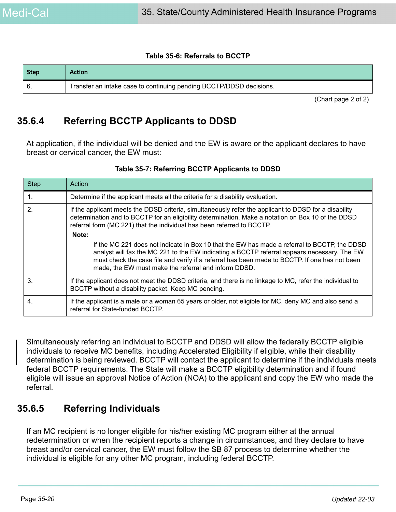#### **Table 35-6: Referrals to BCCTP**

| Step | <b>Action</b>                                                       |
|------|---------------------------------------------------------------------|
|      | Transfer an intake case to continuing pending BCCTP/DDSD decisions. |

(Chart page 2 of 2)

## **35.6.4 Referring BCCTP Applicants to DDSD**

At application, if the individual will be denied and the EW is aware or the applicant declares to have breast or cervical cancer, the EW must:

| <b>Step</b> | Action                                                                                                                                                                                                                                                                                                                                               |
|-------------|------------------------------------------------------------------------------------------------------------------------------------------------------------------------------------------------------------------------------------------------------------------------------------------------------------------------------------------------------|
| 1.          | Determine if the applicant meets all the criteria for a disability evaluation.                                                                                                                                                                                                                                                                       |
| 2.          | If the applicant meets the DDSD criteria, simultaneously refer the applicant to DDSD for a disability<br>determination and to BCCTP for an eligibility determination. Make a notation on Box 10 of the DDSD<br>referral form (MC 221) that the individual has been referred to BCCTP.                                                                |
|             | Note:                                                                                                                                                                                                                                                                                                                                                |
|             | If the MC 221 does not indicate in Box 10 that the EW has made a referral to BCCTP, the DDSD<br>analyst will fax the MC 221 to the EW indicating a BCCTP referral appears necessary. The EW<br>must check the case file and verify if a referral has been made to BCCTP. If one has not been<br>made, the EW must make the referral and inform DDSD. |
| 3.          | If the applicant does not meet the DDSD criteria, and there is no linkage to MC, refer the individual to<br>BCCTP without a disability packet. Keep MC pending.                                                                                                                                                                                      |
| 4.          | If the applicant is a male or a woman 65 years or older, not eligible for MC, deny MC and also send a<br>referral for State-funded BCCTP.                                                                                                                                                                                                            |

### **Table 35-7: Referring BCCTP Applicants to DDSD**

Simultaneously referring an individual to BCCTP and DDSD will allow the federally BCCTP eligible individuals to receive MC benefits, including Accelerated Eligibility if eligible, while their disability determination is being reviewed. BCCTP will contact the applicant to determine if the individuals meets federal BCCTP requirements. The State will make a BCCTP eligibility determination and if found eligible will issue an approval Notice of Action (NOA) to the applicant and copy the EW who made the referral.

## **35.6.5 Referring Individuals**

If an MC recipient is no longer eligible for his/her existing MC program either at the annual redetermination or when the recipient reports a change in circumstances, and they declare to have breast and/or cervical cancer, the EW must follow the SB 87 process to determine whether the individual is eligible for any other MC program, including federal BCCTP.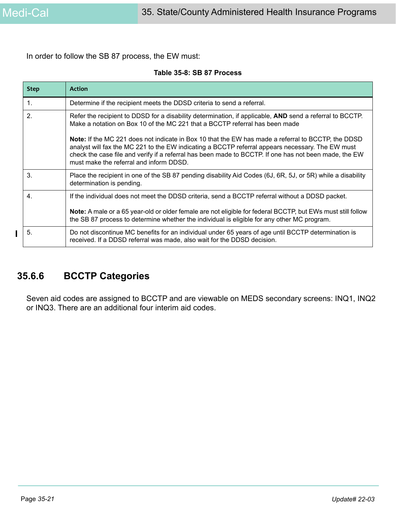$\mathbf I$ 

In order to follow the SB 87 process, the EW must:

| <b>Step</b>      | <b>Action</b>                                                                                                                                                                                                                                                                                                                                              |
|------------------|------------------------------------------------------------------------------------------------------------------------------------------------------------------------------------------------------------------------------------------------------------------------------------------------------------------------------------------------------------|
| 1.               | Determine if the recipient meets the DDSD criteria to send a referral.                                                                                                                                                                                                                                                                                     |
| $\mathbf{2}$     | Refer the recipient to DDSD for a disability determination, if applicable, <b>AND</b> send a referral to BCCTP.<br>Make a notation on Box 10 of the MC 221 that a BCCTP referral has been made                                                                                                                                                             |
|                  | Note: If the MC 221 does not indicate in Box 10 that the EW has made a referral to BCCTP, the DDSD<br>analyst will fax the MC 221 to the EW indicating a BCCTP referral appears necessary. The EW must<br>check the case file and verify if a referral has been made to BCCTP. If one has not been made, the EW<br>must make the referral and inform DDSD. |
| 3.               | Place the recipient in one of the SB 87 pending disability Aid Codes (6J, 6R, 5J, or 5R) while a disability<br>determination is pending.                                                                                                                                                                                                                   |
| $\overline{4}$ . | If the individual does not meet the DDSD criteria, send a BCCTP referral without a DDSD packet.<br><b>Note:</b> A male or a 65 year-old or older female are not eligible for federal BCCTP, but EWs must still follow<br>the SB 87 process to determine whether the individual is eligible for any other MC program.                                       |
| 5.               | Do not discontinue MC benefits for an individual under 65 years of age until BCCTP determination is<br>received. If a DDSD referral was made, also wait for the DDSD decision.                                                                                                                                                                             |

## **35.6.6 BCCTP Categories**

Seven aid codes are assigned to BCCTP and are viewable on MEDS secondary screens: INQ1, INQ2 or INQ3. There are an additional four interim aid codes.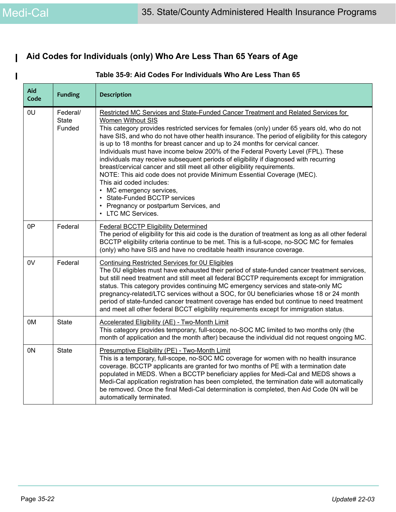## **Aid Codes for Individuals (only) Who Are Less Than 65 Years of Age**

| Aid<br>Code | <b>Funding</b>                     | <b>Description</b>                                                                                                                                                                                                                                                                                                                                                                                                                                                                                                                                                                                                                                                                                                                                                                                                                                                                         |
|-------------|------------------------------------|--------------------------------------------------------------------------------------------------------------------------------------------------------------------------------------------------------------------------------------------------------------------------------------------------------------------------------------------------------------------------------------------------------------------------------------------------------------------------------------------------------------------------------------------------------------------------------------------------------------------------------------------------------------------------------------------------------------------------------------------------------------------------------------------------------------------------------------------------------------------------------------------|
| 0U          | Federal/<br><b>State</b><br>Funded | Restricted MC Services and State-Funded Cancer Treatment and Related Services for<br>Women Without SIS<br>This category provides restricted services for females (only) under 65 years old, who do not<br>have SIS, and who do not have other health insurance. The period of eligibility for this category<br>is up to 18 months for breast cancer and up to 24 months for cervical cancer.<br>Individuals must have income below 200% of the Federal Poverty Level (FPL). These<br>individuals may receive subsequent periods of eligibility if diagnosed with recurring<br>breast/cervical cancer and still meet all other eligibility requirements.<br>NOTE: This aid code does not provide Minimum Essential Coverage (MEC).<br>This aid coded includes:<br>MC emergency services,<br><b>State-Funded BCCTP services</b><br>Pregnancy or postpartum Services, and<br>LTC MC Services. |
| 0P          | Federal                            | <b>Federal BCCTP Eligibility Determined</b><br>The period of eligibility for this aid code is the duration of treatment as long as all other federal<br>BCCTP eligibility criteria continue to be met. This is a full-scope, no-SOC MC for females<br>(only) who have SIS and have no creditable health insurance coverage.                                                                                                                                                                                                                                                                                                                                                                                                                                                                                                                                                                |
| 0V          | Federal                            | <b>Continuing Restricted Services for OU Eligibles</b><br>The 0U eligibles must have exhausted their period of state-funded cancer treatment services,<br>but still need treatment and still meet all federal BCCTP requirements except for immigration<br>status. This category provides continuing MC emergency services and state-only MC<br>pregnancy-related/LTC services without a SOC, for 0U beneficiaries whose 18 or 24 month<br>period of state-funded cancer treatment coverage has ended but continue to need treatment<br>and meet all other federal BCCT eligibility requirements except for immigration status.                                                                                                                                                                                                                                                            |
| 0M          | <b>State</b>                       | <b>Accelerated Eligibility (AE) - Two-Month Limit</b><br>This category provides temporary, full-scope, no-SOC MC limited to two months only (the<br>month of application and the month after) because the individual did not request ongoing MC.                                                                                                                                                                                                                                                                                                                                                                                                                                                                                                                                                                                                                                           |
| 0N          | <b>State</b>                       | Presumptive Eligibility (PE) - Two-Month Limit<br>This is a temporary, full-scope, no-SOC MC coverage for women with no health insurance<br>coverage. BCCTP applicants are granted for two months of PE with a termination date<br>populated in MEDS. When a BCCTP beneficiary applies for Medi-Cal and MEDS shows a<br>Medi-Cal application registration has been completed, the termination date will automatically<br>be removed. Once the final Medi-Cal determination is completed, then Aid Code 0N will be<br>automatically terminated.                                                                                                                                                                                                                                                                                                                                             |

### **Table 35-9: Aid Codes For Individuals Who Are Less Than 65**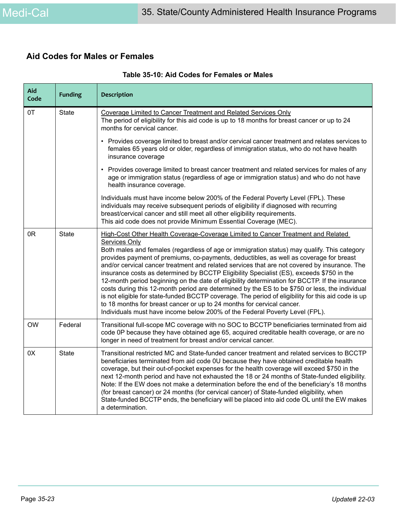## **Aid Codes for Males or Females**

| Aid<br>Code        | <b>Funding</b> | <b>Description</b>                                                                                                                                                                                                                                                                                                                                                                                                                                                                                                                                                                                                                                                                                                                                                                                                                                                                                                                                               |  |  |  |
|--------------------|----------------|------------------------------------------------------------------------------------------------------------------------------------------------------------------------------------------------------------------------------------------------------------------------------------------------------------------------------------------------------------------------------------------------------------------------------------------------------------------------------------------------------------------------------------------------------------------------------------------------------------------------------------------------------------------------------------------------------------------------------------------------------------------------------------------------------------------------------------------------------------------------------------------------------------------------------------------------------------------|--|--|--|
| 0T<br><b>State</b> |                | Coverage Limited to Cancer Treatment and Related Services Only<br>The period of eligibility for this aid code is up to 18 months for breast cancer or up to 24<br>months for cervical cancer.                                                                                                                                                                                                                                                                                                                                                                                                                                                                                                                                                                                                                                                                                                                                                                    |  |  |  |
|                    |                | • Provides coverage limited to breast and/or cervical cancer treatment and relates services to<br>females 65 years old or older, regardless of immigration status, who do not have health<br>insurance coverage                                                                                                                                                                                                                                                                                                                                                                                                                                                                                                                                                                                                                                                                                                                                                  |  |  |  |
|                    |                | • Provides coverage limited to breast cancer treatment and related services for males of any<br>age or immigration status (regardless of age or immigration status) and who do not have<br>health insurance coverage.                                                                                                                                                                                                                                                                                                                                                                                                                                                                                                                                                                                                                                                                                                                                            |  |  |  |
|                    |                | Individuals must have income below 200% of the Federal Poverty Level (FPL). These<br>individuals may receive subsequent periods of eligibility if diagnosed with recurring<br>breast/cervical cancer and still meet all other eligibility requirements.<br>This aid code does not provide Minimum Essential Coverage (MEC).                                                                                                                                                                                                                                                                                                                                                                                                                                                                                                                                                                                                                                      |  |  |  |
| 0R                 | <b>State</b>   | High-Cost Other Health Coverage-Coverage Limited to Cancer Treatment and Related<br><b>Services Only</b><br>Both males and females (regardless of age or immigration status) may qualify. This category<br>provides payment of premiums, co-payments, deductibles, as well as coverage for breast<br>and/or cervical cancer treatment and related services that are not covered by insurance. The<br>insurance costs as determined by BCCTP Eligibility Specialist (ES), exceeds \$750 in the<br>12-month period beginning on the date of eligibility determination for BCCTP. If the insurance<br>costs during this 12-month period are determined by the ES to be \$750 or less, the individual<br>is not eligible for state-funded BCCTP coverage. The period of eligibility for this aid code is up<br>to 18 months for breast cancer or up to 24 months for cervical cancer.<br>Individuals must have income below 200% of the Federal Poverty Level (FPL). |  |  |  |
| <b>OW</b>          | Federal        | Transitional full-scope MC coverage with no SOC to BCCTP beneficiaries terminated from aid<br>code 0P because they have obtained age 65, acquired creditable health coverage, or are no<br>longer in need of treatment for breast and/or cervical cancer.                                                                                                                                                                                                                                                                                                                                                                                                                                                                                                                                                                                                                                                                                                        |  |  |  |
| 0X                 | <b>State</b>   | Transitional restricted MC and State-funded cancer treatment and related services to BCCTP<br>beneficiaries terminated from aid code 0U because they have obtained creditable health<br>coverage, but their out-of-pocket expenses for the health coverage will exceed \$750 in the<br>next 12-month period and have not exhausted the 18 or 24 months of State-funded eligibility.<br>Note: If the EW does not make a determination before the end of the beneficiary's 18 months<br>(for breast cancer) or 24 months (for cervical cancer) of State-funded eligibility, when<br>State-funded BCCTP ends, the beneficiary will be placed into aid code OL until the EW makes<br>a determination.                                                                                                                                                                                                                                                                |  |  |  |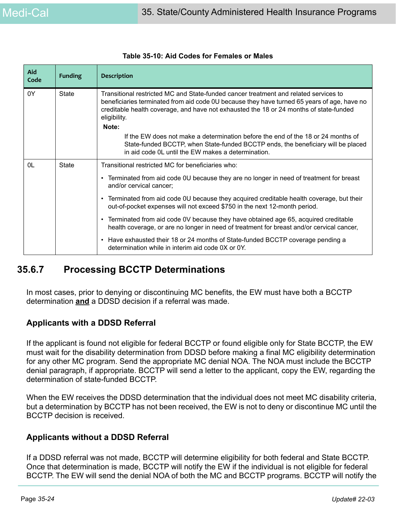| Aid<br>Code | <b>Funding</b> | <b>Description</b>                                                                                                                                                                                                                                                                                                                                                                         |  |
|-------------|----------------|--------------------------------------------------------------------------------------------------------------------------------------------------------------------------------------------------------------------------------------------------------------------------------------------------------------------------------------------------------------------------------------------|--|
| 0Y          | State          | Transitional restricted MC and State-funded cancer treatment and related services to<br>beneficiaries terminated from aid code 0U because they have turned 65 years of age, have no<br>creditable health coverage, and have not exhausted the 18 or 24 months of state-funded<br>eligibility.<br>Note:<br>If the EW does not make a determination before the end of the 18 or 24 months of |  |
|             |                | State-funded BCCTP, when State-funded BCCTP ends, the beneficiary will be placed<br>in aid code OL until the EW makes a determination.                                                                                                                                                                                                                                                     |  |
| 0L          | <b>State</b>   | Transitional restricted MC for beneficiaries who:                                                                                                                                                                                                                                                                                                                                          |  |
|             |                | • Terminated from aid code 0U because they are no longer in need of treatment for breast<br>and/or cervical cancer;                                                                                                                                                                                                                                                                        |  |
|             |                | • Terminated from aid code 0U because they acquired creditable health coverage, but their<br>out-of-pocket expenses will not exceed \$750 in the next 12-month period.                                                                                                                                                                                                                     |  |
|             |                | • Terminated from aid code 0V because they have obtained age 65, acquired creditable<br>health coverage, or are no longer in need of treatment for breast and/or cervical cancer,                                                                                                                                                                                                          |  |
|             |                | • Have exhausted their 18 or 24 months of State-funded BCCTP coverage pending a<br>determination while in interim aid code 0X or 0Y.                                                                                                                                                                                                                                                       |  |

### **Table 35-10: Aid Codes for Females or Males**

## **35.6.7 Processing BCCTP Determinations**

In most cases, prior to denying or discontinuing MC benefits, the EW must have both a BCCTP determination **and** a DDSD decision if a referral was made.

### **Applicants with a DDSD Referral**

If the applicant is found not eligible for federal BCCTP or found eligible only for State BCCTP, the EW must wait for the disability determination from DDSD before making a final MC eligibility determination for any other MC program. Send the appropriate MC denial NOA. The NOA must include the BCCTP denial paragraph, if appropriate. BCCTP will send a letter to the applicant, copy the EW, regarding the determination of state-funded BCCTP.

When the EW receives the DDSD determination that the individual does not meet MC disability criteria, but a determination by BCCTP has not been received, the EW is not to deny or discontinue MC until the BCCTP decision is received.

### **Applicants without a DDSD Referral**

If a DDSD referral was not made, BCCTP will determine eligibility for both federal and State BCCTP. Once that determination is made, BCCTP will notify the EW if the individual is not eligible for federal BCCTP. The EW will send the denial NOA of both the MC and BCCTP programs. BCCTP will notify the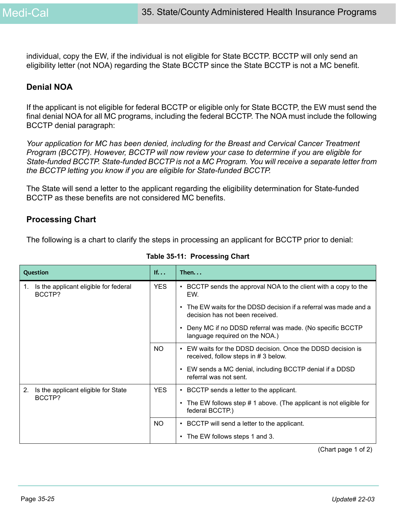individual, copy the EW, if the individual is not eligible for State BCCTP. BCCTP will only send an eligibility letter (not NOA) regarding the State BCCTP since the State BCCTP is not a MC benefit.

### **Denial NOA**

If the applicant is not eligible for federal BCCTP or eligible only for State BCCTP, the EW must send the final denial NOA for all MC programs, including the federal BCCTP. The NOA must include the following BCCTP denial paragraph:

*Your application for MC has been denied, including for the Breast and Cervical Cancer Treatment Program (BCCTP). However, BCCTP will now review your case to determine if you are eligible for State-funded BCCTP. State-funded BCCTP is not a MC Program. You will receive a separate letter from the BCCTP letting you know if you are eligible for State-funded BCCTP.*

The State will send a letter to the applicant regarding the eligibility determination for State-funded BCCTP as these benefits are not considered MC benefits.

### **Processing Chart**

The following is a chart to clarify the steps in processing an applicant for BCCTP prior to denial:

| Question                                              | If         | Then. $\ldots$                                                                                       |
|-------------------------------------------------------|------------|------------------------------------------------------------------------------------------------------|
| Is the applicant eligible for federal<br>1.<br>BCCTP? | <b>YES</b> | • BCCTP sends the approval NOA to the client with a copy to the<br>EW.                               |
|                                                       |            | • The EW waits for the DDSD decision if a referral was made and a<br>decision has not been received. |
|                                                       |            | Deny MC if no DDSD referral was made. (No specific BCCTP<br>language required on the NOA.)           |
|                                                       | NO.        | EW waits for the DDSD decision. Once the DDSD decision is<br>received, follow steps in #3 below.     |
|                                                       |            | • EW sends a MC denial, including BCCTP denial if a DDSD<br>referral was not sent.                   |
| 2.<br>Is the applicant eligible for State             | YES.       | • BCCTP sends a letter to the applicant.                                                             |
| BCCTP?                                                |            | • The EW follows step # 1 above. (The applicant is not eligible for<br>federal BCCTP.)               |
|                                                       | NO.        | • BCCTP will send a letter to the applicant.                                                         |
|                                                       |            | • The EW follows steps 1 and 3.                                                                      |

### **Table 35-11: Processing Chart**

(Chart page 1 of 2)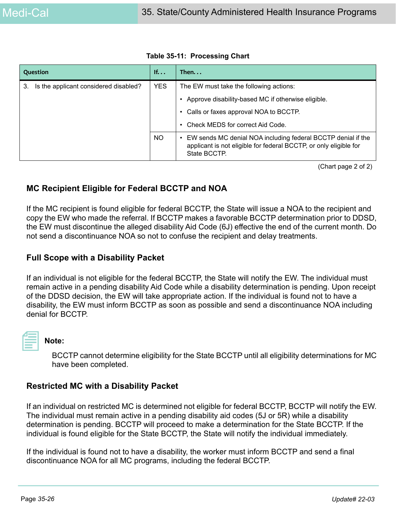| Question                                    | If         | Then                                                                                                                                              |  |
|---------------------------------------------|------------|---------------------------------------------------------------------------------------------------------------------------------------------------|--|
| Is the applicant considered disabled?<br>З. | <b>YES</b> | The EW must take the following actions:                                                                                                           |  |
|                                             |            | Approve disability-based MC if otherwise eligible.                                                                                                |  |
|                                             |            | • Calls or faxes approval NOA to BCCTP.                                                                                                           |  |
|                                             |            | • Check MEDS for correct Aid Code.                                                                                                                |  |
|                                             | <b>NO</b>  | EW sends MC denial NOA including federal BCCTP denial if the<br>applicant is not eligible for federal BCCTP, or only eligible for<br>State BCCTP. |  |

**Table 35-11: Processing Chart**

(Chart page 2 of 2)

### **MC Recipient Eligible for Federal BCCTP and NOA**

If the MC recipient is found eligible for federal BCCTP, the State will issue a NOA to the recipient and copy the EW who made the referral. If BCCTP makes a favorable BCCTP determination prior to DDSD, the EW must discontinue the alleged disability Aid Code (6J) effective the end of the current month. Do not send a discontinuance NOA so not to confuse the recipient and delay treatments.

### **Full Scope with a Disability Packet**

If an individual is not eligible for the federal BCCTP, the State will notify the EW. The individual must remain active in a pending disability Aid Code while a disability determination is pending. Upon receipt of the DDSD decision, the EW will take appropriate action. If the individual is found not to have a disability, the EW must inform BCCTP as soon as possible and send a discontinuance NOA including denial for BCCTP.



### **Note:**

BCCTP cannot determine eligibility for the State BCCTP until all eligibility determinations for MC have been completed.

### **Restricted MC with a Disability Packet**

If an individual on restricted MC is determined not eligible for federal BCCTP, BCCTP will notify the EW. The individual must remain active in a pending disability aid codes (5J or 5R) while a disability determination is pending. BCCTP will proceed to make a determination for the State BCCTP. If the individual is found eligible for the State BCCTP, the State will notify the individual immediately.

If the individual is found not to have a disability, the worker must inform BCCTP and send a final discontinuance NOA for all MC programs, including the federal BCCTP.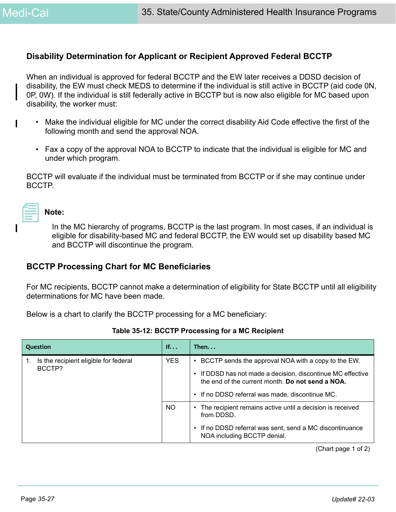### **Disability Determination for Applicant or Recipient Approved Federal BCCTP**

When an individual is approved for federal BCCTP and the EW later receives a DDSD decision of disability, the EW must check MEDS to determine if the individual is still active in BCCTP (aid code 0N, 0P, 0W). If the individual is still federally active in BCCTP but is now also eligible for MC based upon disability, the worker must:

- Make the individual eligible for MC under the correct disability Aid Code effective the first of the following month and send the approval NOA.
- Fax a copy of the approval NOA to BCCTP to indicate that the individual is eligible for MC and under which program.

BCCTP will evaluate if the individual must be terminated from BCCTP or if she may continue under BCCTP.

| ________ |  |  |
|----------|--|--|
|          |  |  |

#### **Note:**

In the MC hierarchy of programs, BCCTP is the last program. In most cases, if an individual is eligible for disability-based MC and federal BCCTP, the EW would set up disability based MC and BCCTP will discontinue the program.

### **BCCTP Processing Chart for MC Beneficiaries**

For MC recipients, BCCTP cannot make a determination of eligibility for State BCCTP until all eligibility determinations for MC have been made.

Below is a chart to clarify the BCCTP processing for a MC beneficiary:

| Question                                        | If         | Then. $\dots$                                                                                                                                                                                                         |
|-------------------------------------------------|------------|-----------------------------------------------------------------------------------------------------------------------------------------------------------------------------------------------------------------------|
| Is the recipient eligible for federal<br>BCCTP? | <b>YES</b> | BCCTP sends the approval NOA with a copy to the EW.<br>If DDSD has not made a decision, discontinue MC effective<br>the end of the current month. Do not send a NOA.<br>If no DDSD referral was made, discontinue MC. |
|                                                 | NO.        | The recipient remains active until a decision is received<br>$\bullet$<br>from DDSD.<br>If no DDSD referral was sent, send a MC discontinuance<br>NOA including BCCTP denial.                                         |

**Table 35-12: BCCTP Processing for a MC Recipient**

(Chart page 1 of 2)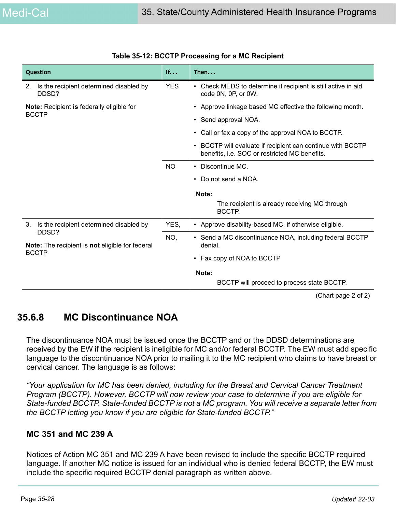| Question                                                               | If         | Then. $\ldots$                                                                                            |
|------------------------------------------------------------------------|------------|-----------------------------------------------------------------------------------------------------------|
| 2.<br>Is the recipient determined disabled by<br>DDSD?                 | <b>YES</b> | Check MEDS to determine if recipient is still active in aid<br>$\bullet$<br>code 0N, 0P, or 0W.           |
| <b>Note:</b> Recipient is federally eligible for<br><b>BCCTP</b>       |            | Approve linkage based MC effective the following month.                                                   |
|                                                                        |            | • Send approval NOA.                                                                                      |
|                                                                        |            | Call or fax a copy of the approval NOA to BCCTP.<br>$\bullet$                                             |
|                                                                        |            | BCCTP will evaluate if recipient can continue with BCCTP<br>benefits, i.e. SOC or restricted MC benefits. |
|                                                                        | <b>NO</b>  | Discontinue MC.<br>$\bullet$                                                                              |
|                                                                        |            | Do not send a NOA.                                                                                        |
|                                                                        |            | Note:                                                                                                     |
|                                                                        |            | The recipient is already receiving MC through<br>BCCTP.                                                   |
| 3.<br>Is the recipient determined disabled by                          | YES,       | • Approve disability-based MC, if otherwise eligible.                                                     |
| DDSD?<br><b>Note:</b> The recipient is <b>not</b> eligible for federal | NO,        | • Send a MC discontinuance NOA, including federal BCCTP<br>denial.                                        |
| <b>BCCTP</b>                                                           |            | Fax copy of NOA to BCCTP<br>$\bullet$                                                                     |
|                                                                        |            | Note:                                                                                                     |
|                                                                        |            | BCCTP will proceed to process state BCCTP.                                                                |

#### **Table 35-12: BCCTP Processing for a MC Recipient**

(Chart page 2 of 2)

## **35.6.8 MC Discontinuance NOA**

The discontinuance NOA must be issued once the BCCTP and or the DDSD determinations are received by the EW if the recipient is ineligible for MC and/or federal BCCTP. The EW must add specific language to the discontinuance NOA prior to mailing it to the MC recipient who claims to have breast or cervical cancer. The language is as follows:

*"Your application for MC has been denied, including for the Breast and Cervical Cancer Treatment Program (BCCTP). However, BCCTP will now review your case to determine if you are eligible for State-funded BCCTP. State-funded BCCTP is not a MC program. You will receive a separate letter from the BCCTP letting you know if you are eligible for State-funded BCCTP."*

### **MC 351 and MC 239 A**

Notices of Action MC 351 and MC 239 A have been revised to include the specific BCCTP required language. If another MC notice is issued for an individual who is denied federal BCCTP, the EW must include the specific required BCCTP denial paragraph as written above.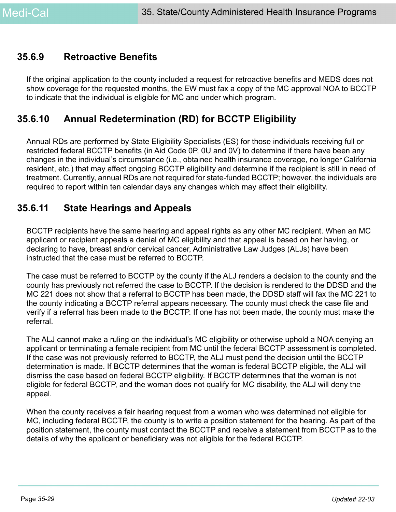## **35.6.9 Retroactive Benefits**

If the original application to the county included a request for retroactive benefits and MEDS does not show coverage for the requested months, the EW must fax a copy of the MC approval NOA to BCCTP to indicate that the individual is eligible for MC and under which program.

## **35.6.10 Annual Redetermination (RD) for BCCTP Eligibility**

Annual RDs are performed by State Eligibility Specialists (ES) for those individuals receiving full or restricted federal BCCTP benefits (in Aid Code 0P, 0U and 0V) to determine if there have been any changes in the individual's circumstance (i.e., obtained health insurance coverage, no longer California resident, etc.) that may affect ongoing BCCTP eligibility and determine if the recipient is still in need of treatment. Currently, annual RDs are not required for state-funded BCCTP; however, the individuals are required to report within ten calendar days any changes which may affect their eligibility.

## **35.6.11 State Hearings and Appeals**

BCCTP recipients have the same hearing and appeal rights as any other MC recipient. When an MC applicant or recipient appeals a denial of MC eligibility and that appeal is based on her having, or declaring to have, breast and/or cervical cancer, Administrative Law Judges (ALJs) have been instructed that the case must be referred to BCCTP.

The case must be referred to BCCTP by the county if the ALJ renders a decision to the county and the county has previously not referred the case to BCCTP. If the decision is rendered to the DDSD and the MC 221 does not show that a referral to BCCTP has been made, the DDSD staff will fax the MC 221 to the county indicating a BCCTP referral appears necessary. The county must check the case file and verify if a referral has been made to the BCCTP. If one has not been made, the county must make the referral.

The ALJ cannot make a ruling on the individual's MC eligibility or otherwise uphold a NOA denying an applicant or terminating a female recipient from MC until the federal BCCTP assessment is completed. If the case was not previously referred to BCCTP, the ALJ must pend the decision until the BCCTP determination is made. If BCCTP determines that the woman is federal BCCTP eligible, the ALJ will dismiss the case based on federal BCCTP eligibility. If BCCTP determines that the woman is not eligible for federal BCCTP, and the woman does not qualify for MC disability, the ALJ will deny the appeal.

When the county receives a fair hearing request from a woman who was determined not eligible for MC, including federal BCCTP, the county is to write a position statement for the hearing. As part of the position statement, the county must contact the BCCTP and receive a statement from BCCTP as to the details of why the applicant or beneficiary was not eligible for the federal BCCTP.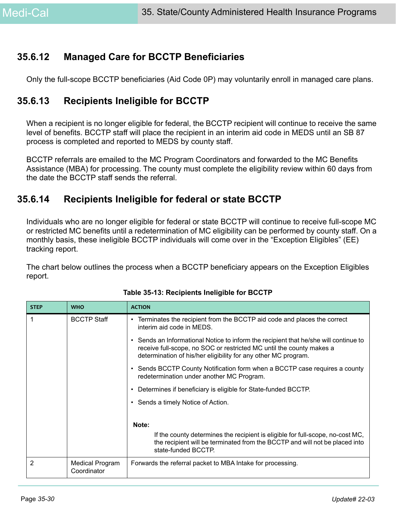## **35.6.12 Managed Care for BCCTP Beneficiaries**

Only the full-scope BCCTP beneficiaries (Aid Code 0P) may voluntarily enroll in managed care plans.

## **35.6.13 Recipients Ineligible for BCCTP**

When a recipient is no longer eligible for federal, the BCCTP recipient will continue to receive the same level of benefits. BCCTP staff will place the recipient in an interim aid code in MEDS until an SB 87 process is completed and reported to MEDS by county staff.

BCCTP referrals are emailed to the MC Program Coordinators and forwarded to the MC Benefits Assistance (MBA) for processing. The county must complete the eligibility review within 60 days from the date the BCCTP staff sends the referral.

## **35.6.14 Recipients Ineligible for federal or state BCCTP**

Individuals who are no longer eligible for federal or state BCCTP will continue to receive full-scope MC or restricted MC benefits until a redetermination of MC eligibility can be performed by county staff. On a monthly basis, these ineligible BCCTP individuals will come over in the "Exception Eligibles" (EE) tracking report.

The chart below outlines the process when a BCCTP beneficiary appears on the Exception Eligibles report.

| <b>STEP</b> | <b>WHO</b>                            | <b>ACTION</b>                                                                                                                                                                                                                  |
|-------------|---------------------------------------|--------------------------------------------------------------------------------------------------------------------------------------------------------------------------------------------------------------------------------|
|             | <b>BCCTP Staff</b>                    | Terminates the recipient from the BCCTP aid code and places the correct<br>$\bullet$<br>interim aid code in MEDS.                                                                                                              |
|             |                                       | • Sends an Informational Notice to inform the recipient that he/she will continue to<br>receive full-scope, no SOC or restricted MC until the county makes a<br>determination of his/her eligibility for any other MC program. |
|             |                                       | • Sends BCCTP County Notification form when a BCCTP case requires a county<br>redetermination under another MC Program.                                                                                                        |
|             |                                       | Determines if beneficiary is eligible for State-funded BCCTP.<br>٠                                                                                                                                                             |
|             |                                       | • Sends a timely Notice of Action.                                                                                                                                                                                             |
|             |                                       | Note:<br>If the county determines the recipient is eligible for full-scope, no-cost MC,<br>the recipient will be terminated from the BCCTP and will not be placed into<br>state-funded BCCTP.                                  |
| 2           | <b>Medical Program</b><br>Coordinator | Forwards the referral packet to MBA Intake for processing.                                                                                                                                                                     |

#### **Table 35-13: Recipients Ineligible for BCCTP**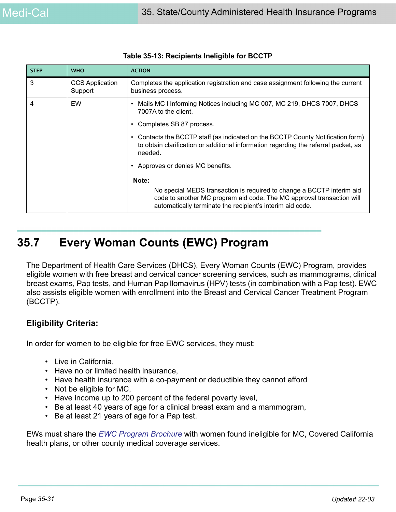| <b>STEP</b>    | <b>WHO</b>                        | <b>ACTION</b>                                                                                                                                                                                                        |
|----------------|-----------------------------------|----------------------------------------------------------------------------------------------------------------------------------------------------------------------------------------------------------------------|
| 3              | <b>CCS Application</b><br>Support | Completes the application registration and case assignment following the current<br>business process.                                                                                                                |
| $\overline{4}$ | EW                                | Mails MC I Informing Notices including MC 007, MC 219, DHCS 7007, DHCS<br>7007A to the client.<br>Completes SB 87 process.                                                                                           |
|                |                                   | • Contacts the BCCTP staff (as indicated on the BCCTP County Notification form)<br>to obtain clarification or additional information regarding the referral packet, as<br>needed.                                    |
|                |                                   | Approves or denies MC benefits.                                                                                                                                                                                      |
|                |                                   | Note:<br>No special MEDS transaction is required to change a BCCTP interim aid<br>code to another MC program aid code. The MC approval transaction will<br>automatically terminate the recipient's interim aid code. |

|  | Table 35-13: Recipients Ineligible for BCCTP |  |  |
|--|----------------------------------------------|--|--|
|--|----------------------------------------------|--|--|

# **35.7 Every Woman Counts (EWC) Program**

The Department of Health Care Services (DHCS), Every Woman Counts (EWC) Program, provides eligible women with free breast and cervical cancer screening services, such as mammograms, clinical breast exams, Pap tests, and Human Papillomavirus (HPV) tests (in combination with a Pap test). EWC also assists eligible women with enrollment into the Breast and Cervical Cancer Treatment Program (BCCTP).

### **Eligibility Criteria:**

In order for women to be eligible for free EWC services, they must:

- Live in California,
- Have no or limited health insurance,
- Have health insurance with a co-payment or deductible they cannot afford
- Not be eligible for MC,
- Have income up to 200 percent of the federal poverty level,
- Be at least 40 years of age for a clinical breast exam and a mammogram,
- Be at least 21 years of age for a Pap test.

EWs must share the *[E]((http://www.dhcs.ca.gov/services/cancer/EWC/Pages/EducationalMaterials.
aspx))WC Program Brochure* with women found ineligible for MC, Covered California health plans, or other county medical coverage services.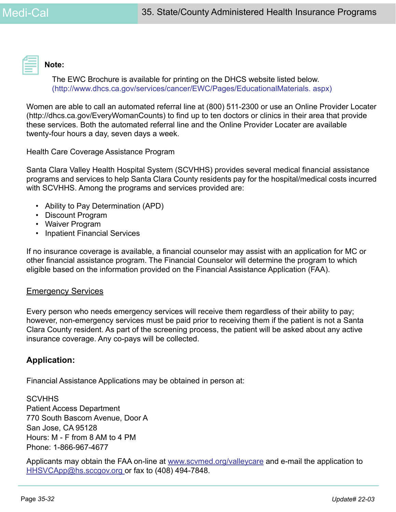

**Note:** 

The EWC Brochure is available for printing on the DHCS website listed below. [\(http://www.dhcs.ca.gov/services/cancer/EWC/Pages/EducationalMaterials. aspx\)]((http://www.dhcs.ca.gov/services/cancer/EWC/Pages/EducationalMaterials.
aspx)) 

Women are able to call an automated referral line at (800) 511-2300 or use an Online Provider Locater (http://dhcs.ca.gov/EveryWomanCounts) to find up to ten doctors or clinics in their area that provide these services. Both the automated referral line and the Online Provider Locater are available twenty-four hours a day, seven days a week.

Health Care Coverage Assistance Program

Santa Clara Valley Health Hospital System (SCVHHS) provides several medical financial assistance programs and services to help Santa Clara County residents pay for the hospital/medical costs incurred with SCVHHS. Among the programs and services provided are:

- Ability to Pay Determination (APD)
- Discount Program
- Waiver Program
- Inpatient Financial Services

If no insurance coverage is available, a financial counselor may assist with an application for MC or other financial assistance program. The Financial Counselor will determine the program to which eligible based on the information provided on the Financial Assistance Application (FAA).

### Emergency Services

Every person who needs emergency services will receive them regardless of their ability to pay; however, non-emergency services must be paid prior to receiving them if the patient is not a Santa Clara County resident. As part of the screening process, the patient will be asked about any active insurance coverage. Any co-pays will be collected.

### **Application:**

Financial Assistance Applications may be obtained in person at:

**SCVHHS** Patient Access Department 770 South Bascom Avenue, Door A San Jose, CA 95128 Hours: M - F from 8 AM to 4 PM Phone: 1-866-967-4677

Applicants may obtain the FAA on-line at www.scymed.org/valleycare and e-mail the application to HHSVCApp@hs.sccgov.org or fax to (408) 494-7848.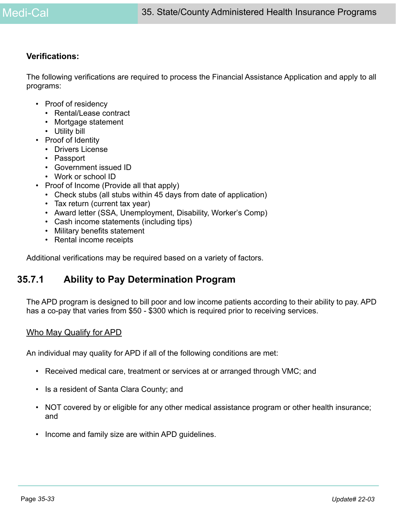### **Verifications:**

The following verifications are required to process the Financial Assistance Application and apply to all programs:

- Proof of residency
	- Rental/Lease contract
	- Mortgage statement
	- Utility bill
- Proof of Identity
	- Drivers License
	- Passport
	- Government issued ID
	- Work or school ID
- Proof of Income (Provide all that apply)
	- Check stubs (all stubs within 45 days from date of application)
	- Tax return (current tax year)
	- Award letter (SSA, Unemployment, Disability, Worker's Comp)
	- Cash income statements (including tips)
	- Military benefits statement
	- Rental income receipts

Additional verifications may be required based on a variety of factors.

## **35.7.1 Ability to Pay Determination Program**

The APD program is designed to bill poor and low income patients according to their ability to pay. APD has a co-pay that varies from \$50 - \$300 which is required prior to receiving services.

### Who May Qualify for APD

An individual may quality for APD if all of the following conditions are met:

- Received medical care, treatment or services at or arranged through VMC; and
- Is a resident of Santa Clara County; and
- NOT covered by or eligible for any other medical assistance program or other health insurance; and
- Income and family size are within APD guidelines.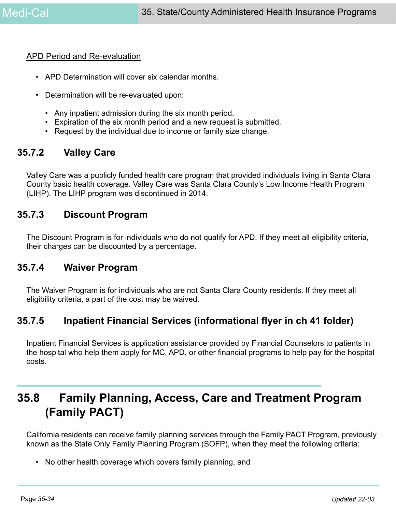### APD Period and Re-evaluation

- APD Determination will cover six calendar months.
- Determination will be re-evaluated upon:
	- Any inpatient admission during the six month period.
	- Expiration of the six month period and a new request is submitted.
	- Request by the individual due to income or family size change.

## **35.7.2 Valley Care**

Valley Care was a publicly funded health care program that provided individuals living in Santa Clara County basic health coverage. Valley Care was Santa Clara County's Low Income Health Program (LIHP). The LIHP program was discontinued in 2014.

### **35.7.3 Discount Program**

The Discount Program is for individuals who do not qualify for APD. If they meet all eligibility criteria, their charges can be discounted by a percentage.

## **35.7.4 Waiver Program**

The Waiver Program is for individuals who are not Santa Clara County residents. If they meet all eligibility criteria, a part of the cost may be waived.

## **35.7.5 Inpatient Financial Services (informational flyer in ch 41 folder)**

Inpatient Financial Services is application assistance provided by Financial Counselors to patients in the hospital who help them apply for MC, APD, or other financial programs to help pay for the hospital costs.

# **35.8 Family Planning, Access, Care and Treatment Program (Family PACT)**

California residents can receive family planning services through the Family PACT Program, previously known as the State Only Family Planning Program (SOFP), when they meet the following criteria:

• No other health coverage which covers family planning, and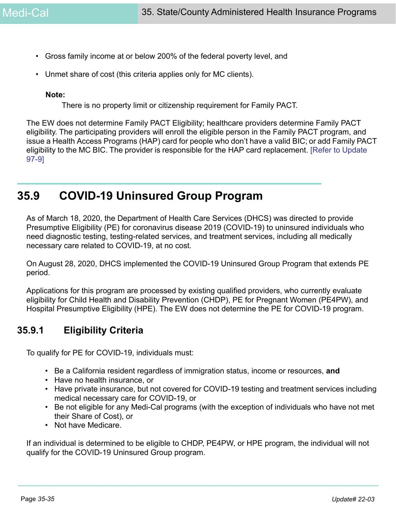- Gross family income at or below 200% of the federal poverty level, and
- Unmet share of cost (this criteria applies only for MC clients).

### **Note:**

There is no property limit or citizenship requirement for Family PACT.

The EW does not determine Family PACT Eligibility; healthcare providers determine Family PACT eligibility. The participating providers will enroll the eligible person in the Family PACT program, and issue a Health Access Programs (HAP) card for people who don't have a valid BIC; or add Family PACT eligibility to the MC BIC. The provider is responsible for the HAP card replacement. [Refer to Update 97-9]

# **35.9 COVID-19 Uninsured Group Program**

As of March 18, 2020, the Department of Health Care Services (DHCS) was directed to provide Presumptive Eligibility (PE) for coronavirus disease 2019 (COVID-19) to uninsured individuals who need diagnostic testing, testing-related services, and treatment services, including all medically necessary care related to COVID-19, at no cost.

On August 28, 2020, DHCS implemented the COVID-19 Uninsured Group Program that extends PE period.

Applications for this program are processed by existing qualified providers, who currently evaluate eligibility for Child Health and Disability Prevention (CHDP), PE for Pregnant Women (PE4PW), and Hospital Presumptive Eligibility (HPE). The EW does not determine the PE for COVID-19 program.

## **35.9.1 Eligibility Criteria**

To qualify for PE for COVID-19, individuals must:

- Be a California resident regardless of immigration status, income or resources, **and**
- Have no health insurance, or
- Have private insurance, but not covered for COVID-19 testing and treatment services including medical necessary care for COVID-19, or
- Be not eligible for any Medi-Cal programs (with the exception of individuals who have not met their Share of Cost), or
- Not have Medicare.

If an individual is determined to be eligible to CHDP, PE4PW, or HPE program, the individual will not qualify for the COVID-19 Uninsured Group program.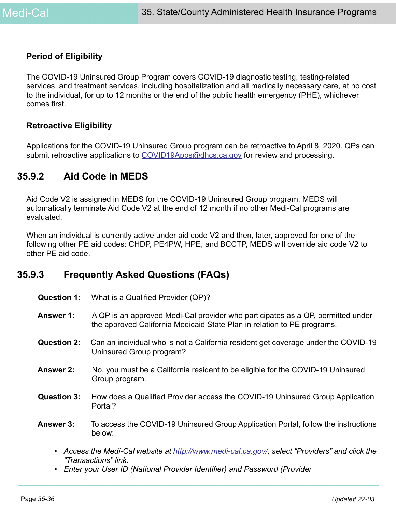### **Period of Eligibility**

The COVID-19 Uninsured Group Program covers COVID-19 diagnostic testing, testing-related services, and treatment services, including hospitalization and all medically necessary care, at no cost to the individual, for up to 12 months or the end of the public health emergency (PHE), whichever comes first.

### **Retroactive Eligibility**

Applications for the COVID-19 Uninsured Group program can be retroactive to April 8, 2020. QPs can submit retroactive applications to COVID19Apps@dhcs.ca.gov for review and processing.

## **35.9.2 Aid Code in MEDS**

Aid Code V2 is assigned in MEDS for the COVID-19 Uninsured Group program. MEDS will automatically terminate Aid Code V2 at the end of 12 month if no other Medi-Cal programs are evaluated.

When an individual is currently active under aid code V2 and then, later, approved for one of the following other PE aid codes: CHDP, PE4PW, HPE, and BCCTP, MEDS will override aid code V2 to other PE aid code.

## **35.9.3 Frequently Asked Questions (FAQs)**

| <b>Question 1:</b> | What is a Qualified Provider (QP)?                                                                                                                         |
|--------------------|------------------------------------------------------------------------------------------------------------------------------------------------------------|
| Answer 1:          | A QP is an approved Medi-Cal provider who participates as a QP, permitted under<br>the approved California Medicaid State Plan in relation to PE programs. |
| <b>Question 2:</b> | Can an individual who is not a California resident get coverage under the COVID-19<br>Uninsured Group program?                                             |
| <b>Answer 2:</b>   | No, you must be a California resident to be eligible for the COVID-19 Uninsured<br>Group program.                                                          |
| <b>Question 3:</b> | How does a Qualified Provider access the COVID-19 Uninsured Group Application<br>Portal?                                                                   |
| Answer 3:          | To access the COVID-19 Uninsured Group Application Portal, follow the instructions<br>below:                                                               |
|                    |                                                                                                                                                            |

- *Access the Medi-Cal website at [http://www.medi-cal.ca.gov/,](https://www.medi-cal.ca.gov/) select "Providers" and click the "Transactions" link.*
- *Enter your User ID (National Provider Identifier) and Password (Provider*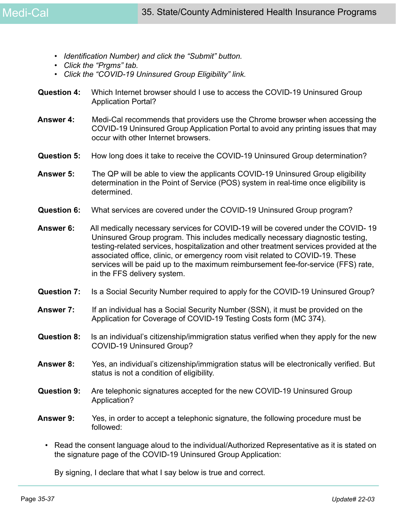- *Identification Number) and click the "Submit" button.*
- *Click the "Prgms" tab.*
- *Click the "COVID-19 Uninsured Group Eligibility" link.*
- **Question 4:** Which Internet browser should I use to access the COVID-19 Uninsured Group Application Portal?
- **Answer 4:** Medi-Cal recommends that providers use the Chrome browser when accessing the COVID-19 Uninsured Group Application Portal to avoid any printing issues that may occur with other Internet browsers.
- **Question 5:** How long does it take to receive the COVID-19 Uninsured Group determination?
- **Answer 5:** The QP will be able to view the applicants COVID-19 Uninsured Group eligibility determination in the Point of Service (POS) system in real-time once eligibility is determined.
- **Question 6:** What services are covered under the COVID-19 Uninsured Group program?
- **Answer 6:** All medically necessary services for COVID-19 will be covered under the COVID- 19 Uninsured Group program. This includes medically necessary diagnostic testing, testing-related services, hospitalization and other treatment services provided at the associated office, clinic, or emergency room visit related to COVID-19. These services will be paid up to the maximum reimbursement fee-for-service (FFS) rate, in the FFS delivery system.
- **Question 7:** Is a Social Security Number required to apply for the COVID-19 Uninsured Group?
- **Answer 7:** If an individual has a Social Security Number (SSN), it must be provided on the Application for Coverage of COVID-19 Testing Costs form (MC 374).
- **Question 8:** Is an individual's citizenship/immigration status verified when they apply for the new COVID-19 Uninsured Group?
- **Answer 8:** Yes, an individual's citizenship/immigration status will be electronically verified. But status is not a condition of eligibility.
- **Question 9:** Are telephonic signatures accepted for the new COVID-19 Uninsured Group Application?
- **Answer 9:** Yes, in order to accept a telephonic signature, the following procedure must be followed:
	- Read the consent language aloud to the individual/Authorized Representative as it is stated on the signature page of the COVID-19 Uninsured Group Application:

By signing, I declare that what I say below is true and correct.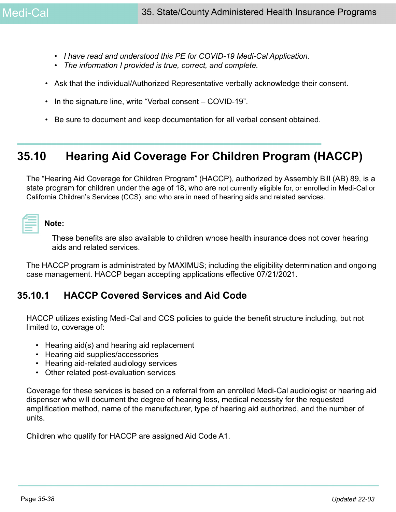- *I have read and understood this PE for COVID-19 Medi-Cal Application.*
- *The information I provided is true, correct, and complete.*
- Ask that the individual/Authorized Representative verbally acknowledge their consent.
- In the signature line, write "Verbal consent COVID-19".
- Be sure to document and keep documentation for all verbal consent obtained.

# **35.10 Hearing Aid Coverage For Children Program (HACCP)**

The "Hearing Aid Coverage for Children Program" (HACCP), authorized by Assembly Bill (AB) 89, is a state program for children under the age of 18, who are not currently eligible for, or enrolled in Medi-Cal or California Children's Services (CCS), and who are in need of hearing aids and related services.

# **Note:**

These benefits are also available to children whose health insurance does not cover hearing aids and related services.

The HACCP program is administrated by MAXIMUS; including the eligibility determination and ongoing case management. HACCP began accepting applications effective 07/21/2021.

## **35.10.1 HACCP Covered Services and Aid Code**

HACCP utilizes existing Medi-Cal and CCS policies to guide the benefit structure including, but not limited to, coverage of:

- Hearing aid(s) and hearing aid replacement
- Hearing aid supplies/accessories
- Hearing aid-related audiology services
- Other related post-evaluation services

Coverage for these services is based on a referral from an enrolled Medi-Cal audiologist or hearing aid dispenser who will document the degree of hearing loss, medical necessity for the requested amplification method, name of the manufacturer, type of hearing aid authorized, and the number of units.

Children who qualify for HACCP are assigned Aid Code A1.